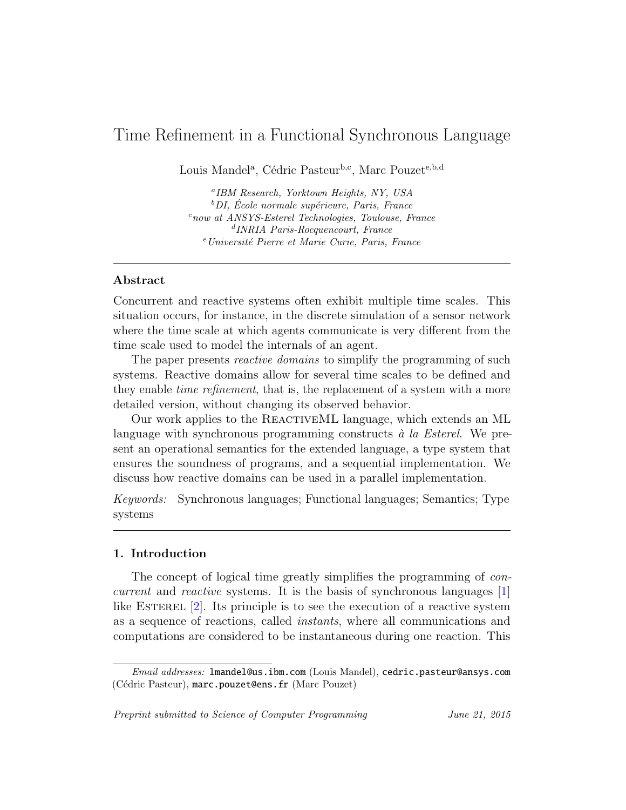# <span id="page-0-0"></span>Time Refinement in a Functional Synchronous Language

Louis Mandel<sup>a</sup>, Cédric Pasteur<sup>b,c</sup>, Marc Pouzet<sup>e,b,d</sup>

a IBM Research, Yorktown Heights, NY, USA  ${}^b$ DI, École normale supérieure, Paris, France  $c_{now}$  at ANSYS-Esterel Technologies, Toulouse, France d INRIA Paris-Rocquencourt, France <sup>e</sup> Université Pierre et Marie Curie, Paris, France

# Abstract

Concurrent and reactive systems often exhibit multiple time scales. This situation occurs, for instance, in the discrete simulation of a sensor network where the time scale at which agents communicate is very different from the time scale used to model the internals of an agent.

The paper presents *reactive domains* to simplify the programming of such systems. Reactive domains allow for several time scales to be defined and they enable time refinement, that is, the replacement of a system with a more detailed version, without changing its observed behavior.

Our work applies to the ReactiveML language, which extends an ML language with synchronous programming constructs  $\dot{a}$  la Esterel. We present an operational semantics for the extended language, a type system that ensures the soundness of programs, and a sequential implementation. We discuss how reactive domains can be used in a parallel implementation.

Keywords: Synchronous languages; Functional languages; Semantics; Type systems

### 1. Introduction

The concept of logical time greatly simplifies the programming of *con*current and reactive systems. It is the basis of synchronous languages [\[1\]](#page-41-0) like ESTEREL  $[2]$ . Its principle is to see the execution of a reactive system as a sequence of reactions, called instants, where all communications and computations are considered to be instantaneous during one reaction. This

Preprint submitted to Science of Computer Programming June 21, 2015

Email addresses: lmandel@us.ibm.com (Louis Mandel), cedric.pasteur@ansys.com (Cédric Pasteur), marc.pouzet@ens.fr (Marc Pouzet)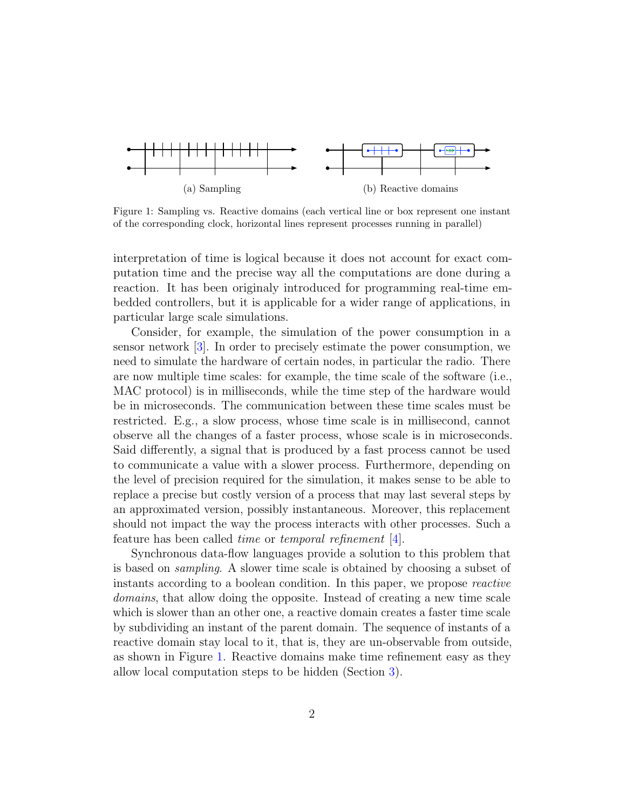<span id="page-1-0"></span>

Figure 1: Sampling vs. Reactive domains (each vertical line or box represent one instant of the corresponding clock, horizontal lines represent processes running in parallel)

interpretation of time is logical because it does not account for exact computation time and the precise way all the computations are done during a reaction. It has been originaly introduced for programming real-time embedded controllers, but it is applicable for a wider range of applications, in particular large scale simulations.

Consider, for example, the simulation of the power consumption in a sensor network [\[3\]](#page-41-2). In order to precisely estimate the power consumption, we need to simulate the hardware of certain nodes, in particular the radio. There are now multiple time scales: for example, the time scale of the software (i.e., MAC protocol) is in milliseconds, while the time step of the hardware would be in microseconds. The communication between these time scales must be restricted. E.g., a slow process, whose time scale is in millisecond, cannot observe all the changes of a faster process, whose scale is in microseconds. Said differently, a signal that is produced by a fast process cannot be used to communicate a value with a slower process. Furthermore, depending on the level of precision required for the simulation, it makes sense to be able to replace a precise but costly version of a process that may last several steps by an approximated version, possibly instantaneous. Moreover, this replacement should not impact the way the process interacts with other processes. Such a feature has been called time or temporal refinement [\[4\]](#page-41-3).

Synchronous data-flow languages provide a solution to this problem that is based on sampling. A slower time scale is obtained by choosing a subset of instants according to a boolean condition. In this paper, we propose reactive domains, that allow doing the opposite. Instead of creating a new time scale which is slower than an other one, a reactive domain creates a faster time scale by subdividing an instant of the parent domain. The sequence of instants of a reactive domain stay local to it, that is, they are un-observable from outside, as shown in Figure [1.](#page-1-0) Reactive domains make time refinement easy as they allow local computation steps to be hidden (Section [3\)](#page-6-0).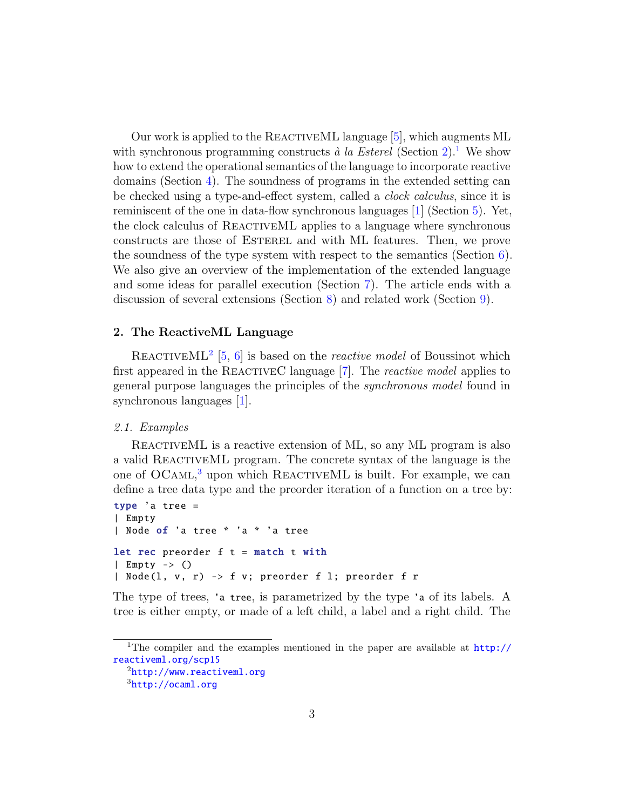Our work is applied to the REACTIVEML language [\[5\]](#page-42-0), which augments ML with synchronous programming constructs  $\dot{a}$  la Esterel (Section [2\)](#page-2-0).<sup>[1](#page-2-1)</sup> We show how to extend the operational semantics of the language to incorporate reactive domains (Section [4\)](#page-15-0). The soundness of programs in the extended setting can be checked using a type-and-effect system, called a clock calculus, since it is reminiscent of the one in data-flow synchronous languages [\[1\]](#page-41-0) (Section [5\)](#page-24-0). Yet, the clock calculus of ReactiveML applies to a language where synchronous constructs are those of Esterel and with ML features. Then, we prove the soundness of the type system with respect to the semantics (Section  $6$ ). We also give an overview of the implementation of the extended language and some ideas for parallel execution (Section [7\)](#page-34-0). The article ends with a discussion of several extensions (Section [8\)](#page-38-0) and related work (Section [9\)](#page-39-0).

#### <span id="page-2-0"></span>2. The ReactiveML Language

REACTIVEML<sup>[2](#page-2-2)</sup> [\[5,](#page-42-0) [6\]](#page-42-1) is based on the *reactive model* of Boussinot which first appeared in the REACTIVEC language  $[7]$ . The *reactive model* applies to general purpose languages the principles of the synchronous model found in synchronous languages [\[1\]](#page-41-0).

#### <span id="page-2-4"></span>2.1. Examples

REACTIVEML is a reactive extension of ML, so any ML program is also a valid ReactiveML program. The concrete syntax of the language is the one of OCAML,<sup>[3](#page-2-3)</sup> upon which REACTIVEML is built. For example, we can define a tree data type and the preorder iteration of a function on a tree by:

```
type 'a tree =
| Empty
| Node of 'a tree * 'a * 'a tree
let rec preorder f t = match t with
| Empty \rightarrow ()
| Node(l, v, r) -> f v; preorder f l; preorder f r
```
The type of trees, 'a tree, is parametrized by the type 'a of its labels. A tree is either empty, or made of a left child, a label and a right child. The

<span id="page-2-1"></span><sup>&</sup>lt;sup>1</sup>The compiler and the examples mentioned in the paper are available at  $http://$ [reactiveml.org/scp15](http://reactiveml.org/scp15)

<span id="page-2-2"></span> $^{2}$ <http://www.reactiveml.org>

<span id="page-2-3"></span> $3$ <http://ocaml.org>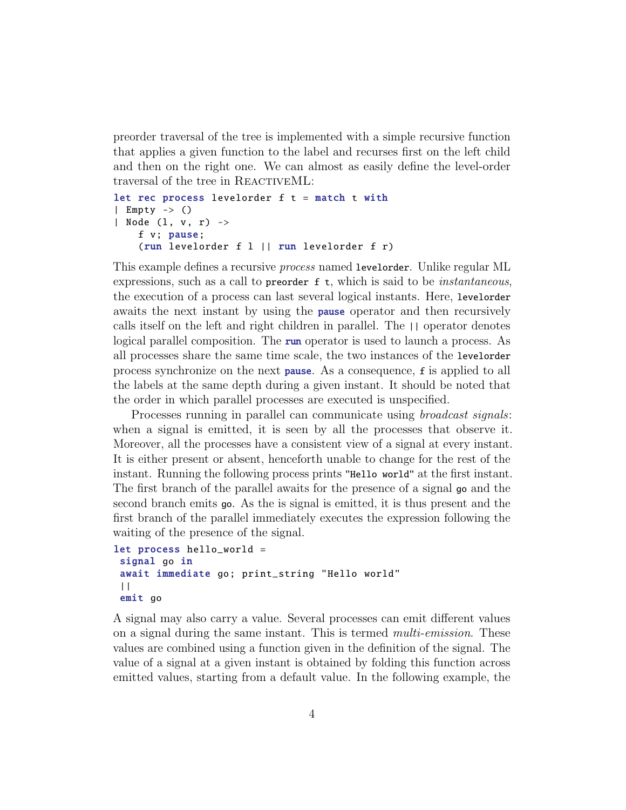preorder traversal of the tree is implemented with a simple recursive function that applies a given function to the label and recurses first on the left child and then on the right one. We can almost as easily define the level-order traversal of the tree in REACTIVEML:

```
let rec process levelorder f t = match t with
| Empty -> ()
| Node (l, v, r) ->
    f v; pause;
    (run levelorder f l || run levelorder f r)
```
This example defines a recursive *process* named levelorder. Unlike regular ML expressions, such as a call to **preorder**  $f$ , which is said to be *instantaneous*, the execution of a process can last several logical instants. Here, levelorder awaits the next instant by using the pause operator and then recursively calls itself on the left and right children in parallel. The || operator denotes logical parallel composition. The run operator is used to launch a process. As all processes share the same time scale, the two instances of the levelorder process synchronize on the next pause. As a consequence, f is applied to all the labels at the same depth during a given instant. It should be noted that the order in which parallel processes are executed is unspecified.

Processes running in parallel can communicate using *broadcast signals*: when a signal is emitted, it is seen by all the processes that observe it. Moreover, all the processes have a consistent view of a signal at every instant. It is either present or absent, henceforth unable to change for the rest of the instant. Running the following process prints "Hello world" at the first instant. The first branch of the parallel awaits for the presence of a signal go and the second branch emits go. As the is signal is emitted, it is thus present and the first branch of the parallel immediately executes the expression following the waiting of the presence of the signal.

```
let process hello_world =
 signal go in
 await immediate go; print_string "Hello world"
 | \ |emit go
```
A signal may also carry a value. Several processes can emit different values on a signal during the same instant. This is termed multi-emission. These values are combined using a function given in the definition of the signal. The value of a signal at a given instant is obtained by folding this function across emitted values, starting from a default value. In the following example, the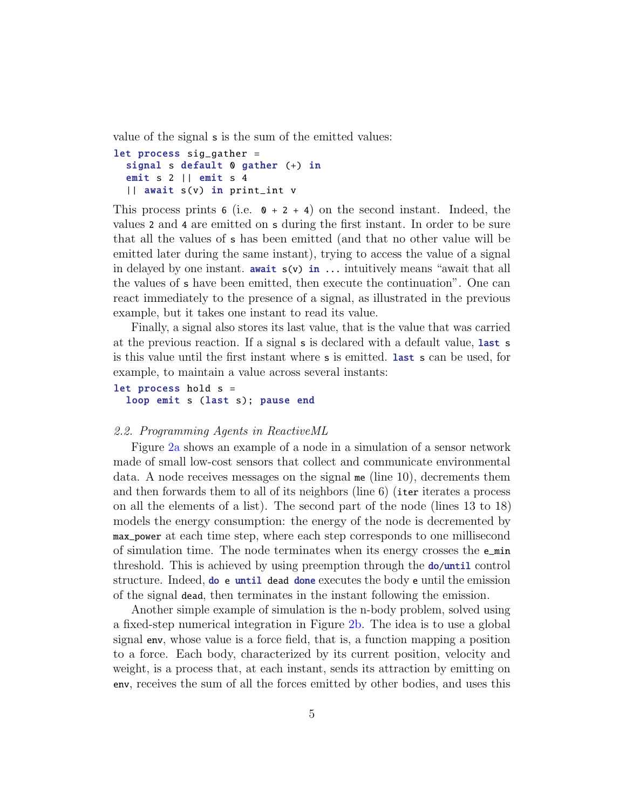value of the signal s is the sum of the emitted values:

```
let process sig_gather =
  signal s default 0 gather (+) in
  emit s 2 || emit s 4
  || await s(v) in print_int v
```
This process prints 6 (i.e.  $\theta$  + 2 + 4) on the second instant. Indeed, the values 2 and 4 are emitted on s during the first instant. In order to be sure that all the values of s has been emitted (and that no other value will be emitted later during the same instant), trying to access the value of a signal in delayed by one instant. **await**  $s(v)$  in  $\ldots$  intuitively means "await that all the values of s have been emitted, then execute the continuation". One can react immediately to the presence of a signal, as illustrated in the previous example, but it takes one instant to read its value.

Finally, a signal also stores its last value, that is the value that was carried at the previous reaction. If a signal s is declared with a default value, last s is this value until the first instant where s is emitted. last s can be used, for example, to maintain a value across several instants:

let process hold s = loop emit s (last s); pause end

#### 2.2. Programming Agents in ReactiveML

Figure [2a](#page-5-0) shows an example of a node in a simulation of a sensor network made of small low-cost sensors that collect and communicate environmental data. A node receives messages on the signal me (line 10), decrements them and then forwards them to all of its neighbors (line 6) (iter iterates a process on all the elements of a list). The second part of the node (lines 13 to 18) models the energy consumption: the energy of the node is decremented by max\_power at each time step, where each step corresponds to one millisecond of simulation time. The node terminates when its energy crosses the e\_min threshold. This is achieved by using preemption through the **do/until** control structure. Indeed, do e until dead done executes the body e until the emission of the signal dead, then terminates in the instant following the emission.

Another simple example of simulation is the n-body problem, solved using a fixed-step numerical integration in Figure [2b.](#page-0-0) The idea is to use a global signal env, whose value is a force field, that is, a function mapping a position to a force. Each body, characterized by its current position, velocity and weight, is a process that, at each instant, sends its attraction by emitting on env, receives the sum of all the forces emitted by other bodies, and uses this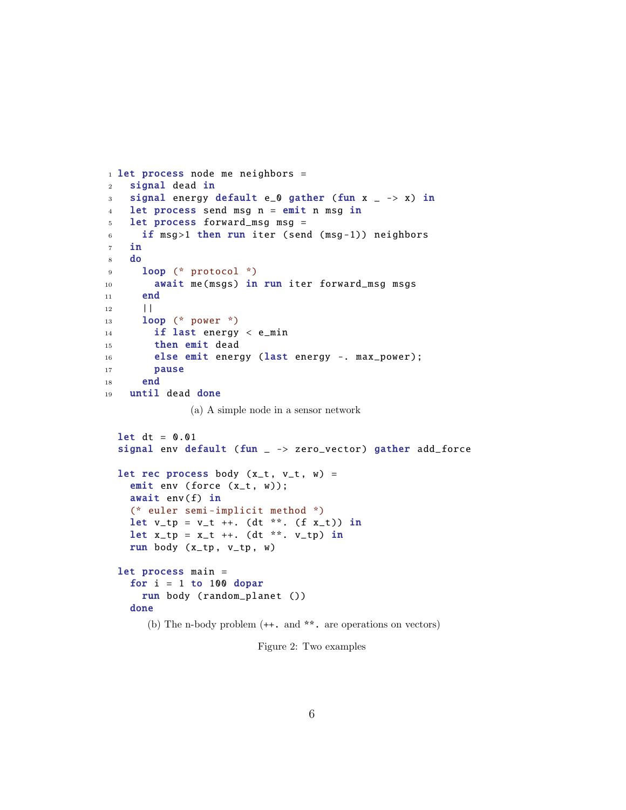```
1 let process node me neighbors =
2 signal dead in
3 signal energy default e_0 gather (fun x = -2 x) in
4 let process send msq n = emit n msq in
5 let process forward_msg msg =
6 if msg>1 then run iter (send (msg-1)) neighbors
7 in
8 do
9 loop (* protocol *)
10 await me(msgs) in run iter forward_msg msgs
11 end
12 ||
13 loop (* power *)
14 if last energy < e_min
15 then emit dead
16 else emit energy (last energy -. max_power);
17 pause
18 end
19 until dead done
             (a) A simple node in a sensor network
 let dt = 0.01signal env default (fun - > zero_vector) gather add_force
 let rec process body (x_t, v_t, w) =emit env (force (x_t, w));
   await env(f) in
   (* euler semi -implicit method *)
   let v_t = v_t + \dots (dt **. (f x_t) in
   let x_t = x_t + \dots (dt **. v_t) in
   run body (x_t, v_t, w)let process main =
   for i = 1 to 100 dopar
     run body ( random_planet ())
   done
      (b) The n-body problem (++. and **. are operations on vectors)
```
Figure 2: Two examples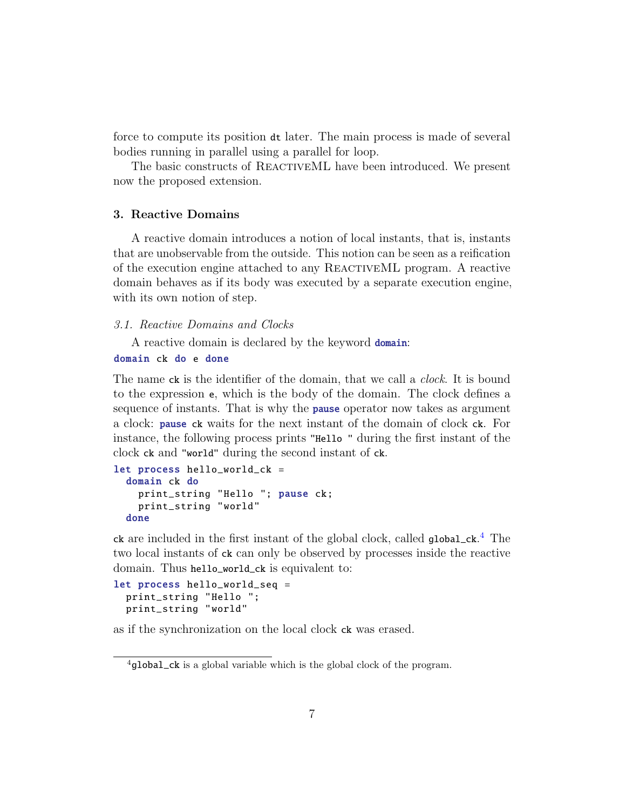force to compute its position dt later. The main process is made of several bodies running in parallel using a parallel for loop.

The basic constructs of REACTIVEML have been introduced. We present now the proposed extension.

# <span id="page-6-0"></span>3. Reactive Domains

A reactive domain introduces a notion of local instants, that is, instants that are unobservable from the outside. This notion can be seen as a reification of the execution engine attached to any REACTIVEML program. A reactive domain behaves as if its body was executed by a separate execution engine, with its own notion of step.

#### 3.1. Reactive Domains and Clocks

A reactive domain is declared by the keyword **domain**:

```
domain ck do e done
```
The name ck is the identifier of the domain, that we call a *clock*. It is bound to the expression e, which is the body of the domain. The clock defines a sequence of instants. That is why the **pause** operator now takes as argument a clock: pause ck waits for the next instant of the domain of clock ck. For instance, the following process prints "Hello " during the first instant of the clock ck and "world" during the second instant of ck.

```
let process hello_world_ck =
  domain ck do
    print_string "Hello "; pause ck;
    print_string "world"
  done
```
ck are included in the first instant of the global clock, called global\_ck. [4](#page-6-1) The two local instants of ck can only be observed by processes inside the reactive domain. Thus hello\_world\_ck is equivalent to:

```
let process hello_world_seq =
  print_string "Hello ";
  print_string "world"
```
as if the synchronization on the local clock ck was erased.

<span id="page-6-1"></span> $^{4}$ global\_ck is a global variable which is the global clock of the program.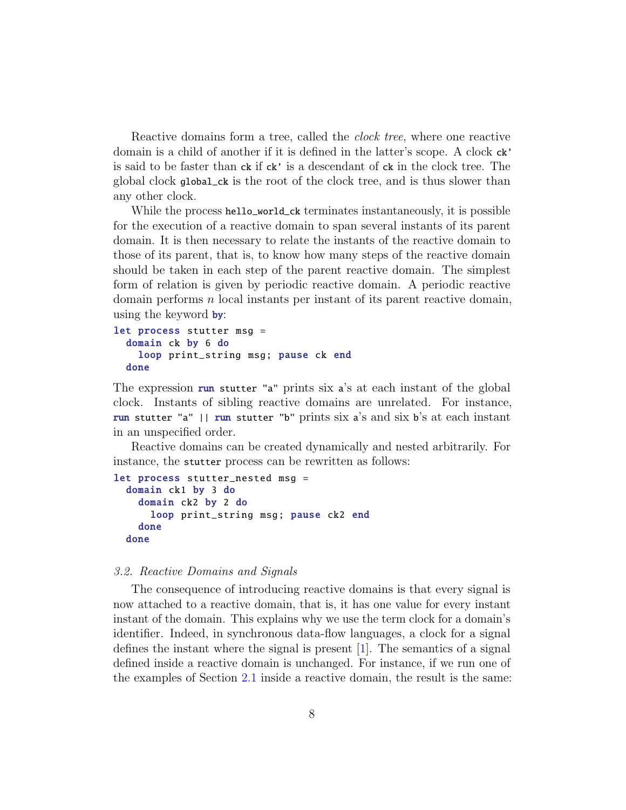Reactive domains form a tree, called the clock tree, where one reactive domain is a child of another if it is defined in the latter's scope. A clock ck' is said to be faster than ck if ck' is a descendant of ck in the clock tree. The global clock global\_ck is the root of the clock tree, and is thus slower than any other clock.

While the process hello\_world\_ck terminates instantaneously, it is possible for the execution of a reactive domain to span several instants of its parent domain. It is then necessary to relate the instants of the reactive domain to those of its parent, that is, to know how many steps of the reactive domain should be taken in each step of the parent reactive domain. The simplest form of relation is given by periodic reactive domain. A periodic reactive domain performs  $n$  local instants per instant of its parent reactive domain, using the keyword by:

```
let process stutter msg =
  domain ck by 6 do
    loop print_string msg; pause ck end
  done
```
The expression run stutter "a" prints six a's at each instant of the global clock. Instants of sibling reactive domains are unrelated. For instance, run stutter "a" || run stutter "b" prints six a's and six b's at each instant in an unspecified order.

Reactive domains can be created dynamically and nested arbitrarily. For instance, the stutter process can be rewritten as follows:

```
let process stutter_nested msg =
  domain ck1 by 3 do
    domain ck2 by 2 do
      loop print_string msg; pause ck2 end
    done
  done
```
#### <span id="page-7-0"></span>3.2. Reactive Domains and Signals

The consequence of introducing reactive domains is that every signal is now attached to a reactive domain, that is, it has one value for every instant instant of the domain. This explains why we use the term clock for a domain's identifier. Indeed, in synchronous data-flow languages, a clock for a signal defines the instant where the signal is present [\[1\]](#page-41-0). The semantics of a signal defined inside a reactive domain is unchanged. For instance, if we run one of the examples of Section [2.1](#page-2-4) inside a reactive domain, the result is the same: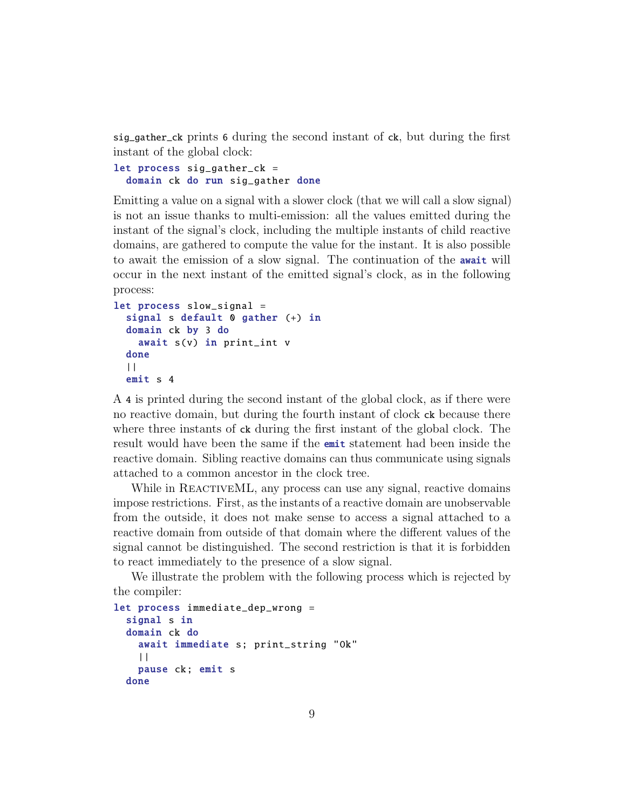sig\_gather\_ck prints 6 during the second instant of ck, but during the first instant of the global clock:

let process sig\_gather\_ck = domain ck do run sig\_gather done

Emitting a value on a signal with a slower clock (that we will call a slow signal) is not an issue thanks to multi-emission: all the values emitted during the instant of the signal's clock, including the multiple instants of child reactive domains, are gathered to compute the value for the instant. It is also possible to await the emission of a slow signal. The continuation of the await will occur in the next instant of the emitted signal's clock, as in the following process:

```
let process slow_signal =
  signal s default 0 gather (+) in
  domain ck by 3 do
    await s(v) in print_int v
  done
  ||
  emit s 4
```
A 4 is printed during the second instant of the global clock, as if there were no reactive domain, but during the fourth instant of clock ck because there where three instants of  $c\mathbf{k}$  during the first instant of the global clock. The result would have been the same if the emit statement had been inside the reactive domain. Sibling reactive domains can thus communicate using signals attached to a common ancestor in the clock tree.

While in REACTIVEML, any process can use any signal, reactive domains impose restrictions. First, as the instants of a reactive domain are unobservable from the outside, it does not make sense to access a signal attached to a reactive domain from outside of that domain where the different values of the signal cannot be distinguished. The second restriction is that it is forbidden to react immediately to the presence of a slow signal.

We illustrate the problem with the following process which is rejected by the compiler:

```
let process immediate_dep_wrong =
  signal s in
  domain ck do
    await immediate s; print_string "Ok"
    | \cdot |pause ck; emit s
  done
```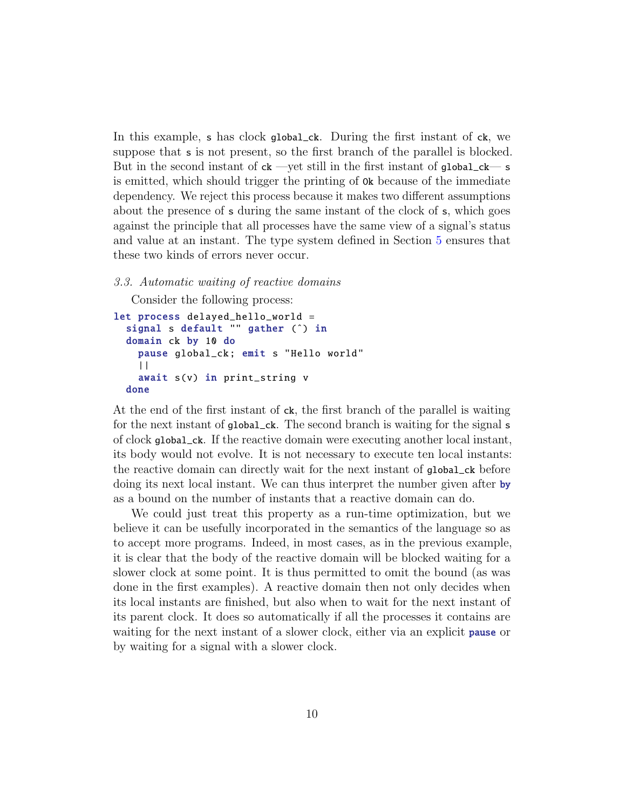In this example, s has clock global\_ck. During the first instant of ck, we suppose that s is not present, so the first branch of the parallel is blocked. But in the second instant of  $ck$  —yet still in the first instant of global\_ $ck$ — s is emitted, which should trigger the printing of Ok because of the immediate dependency. We reject this process because it makes two different assumptions about the presence of s during the same instant of the clock of s, which goes against the principle that all processes have the same view of a signal's status and value at an instant. The type system defined in Section [5](#page-24-0) ensures that these two kinds of errors never occur.

# <span id="page-9-0"></span>3.3. Automatic waiting of reactive domains

Consider the following process:

```
let process delayed_hello_world =
  signal s default "" gather (^) in
  domain ck by 10 do
    pause global_ck; emit s "Hello world"
    ||
    await s(v) in print_string v
  done
```
At the end of the first instant of ck, the first branch of the parallel is waiting for the next instant of global\_ck. The second branch is waiting for the signal s of clock global\_ck. If the reactive domain were executing another local instant, its body would not evolve. It is not necessary to execute ten local instants: the reactive domain can directly wait for the next instant of global\_ck before doing its next local instant. We can thus interpret the number given after by as a bound on the number of instants that a reactive domain can do.

We could just treat this property as a run-time optimization, but we believe it can be usefully incorporated in the semantics of the language so as to accept more programs. Indeed, in most cases, as in the previous example, it is clear that the body of the reactive domain will be blocked waiting for a slower clock at some point. It is thus permitted to omit the bound (as was done in the first examples). A reactive domain then not only decides when its local instants are finished, but also when to wait for the next instant of its parent clock. It does so automatically if all the processes it contains are waiting for the next instant of a slower clock, either via an explicit **pause** or by waiting for a signal with a slower clock.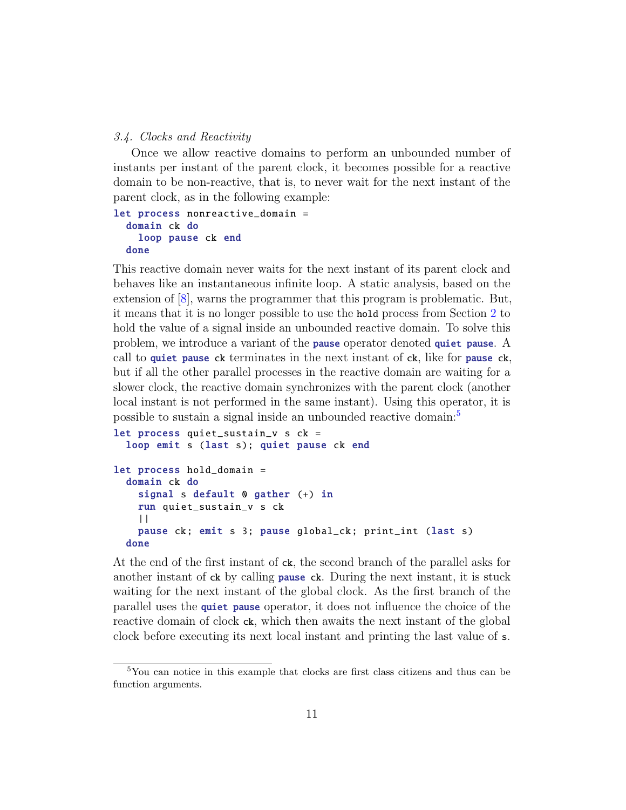#### 3.4. Clocks and Reactivity

Once we allow reactive domains to perform an unbounded number of instants per instant of the parent clock, it becomes possible for a reactive domain to be non-reactive, that is, to never wait for the next instant of the parent clock, as in the following example:

```
let process nonreactive_domain =
  domain ck do
    loop pause ck end
  done
```
This reactive domain never waits for the next instant of its parent clock and behaves like an instantaneous infinite loop. A static analysis, based on the extension of [\[8\]](#page-42-3), warns the programmer that this program is problematic. But, it means that it is no longer possible to use the hold process from Section [2](#page-2-0) to hold the value of a signal inside an unbounded reactive domain. To solve this problem, we introduce a variant of the pause operator denoted quiet pause. A call to quiet pause ck terminates in the next instant of ck, like for pause ck, but if all the other parallel processes in the reactive domain are waiting for a slower clock, the reactive domain synchronizes with the parent clock (another local instant is not performed in the same instant). Using this operator, it is possible to sustain a signal inside an unbounded reactive domain:[5](#page-10-0)

```
let process quiet_sustain_v s ck =
  loop emit s (last s); quiet pause ck end
let process hold_domain =
  domain ck do
    signal s default 0 gather (+) in
    run quiet_sustain_v s ck
    | \ |pause ck; emit s 3; pause global_ck; print_int (last s)
  done
```
At the end of the first instant of ck, the second branch of the parallel asks for another instant of ck by calling pause ck. During the next instant, it is stuck waiting for the next instant of the global clock. As the first branch of the parallel uses the quiet pause operator, it does not influence the choice of the reactive domain of clock ck, which then awaits the next instant of the global clock before executing its next local instant and printing the last value of s.

<span id="page-10-0"></span><sup>5</sup>You can notice in this example that clocks are first class citizens and thus can be function arguments.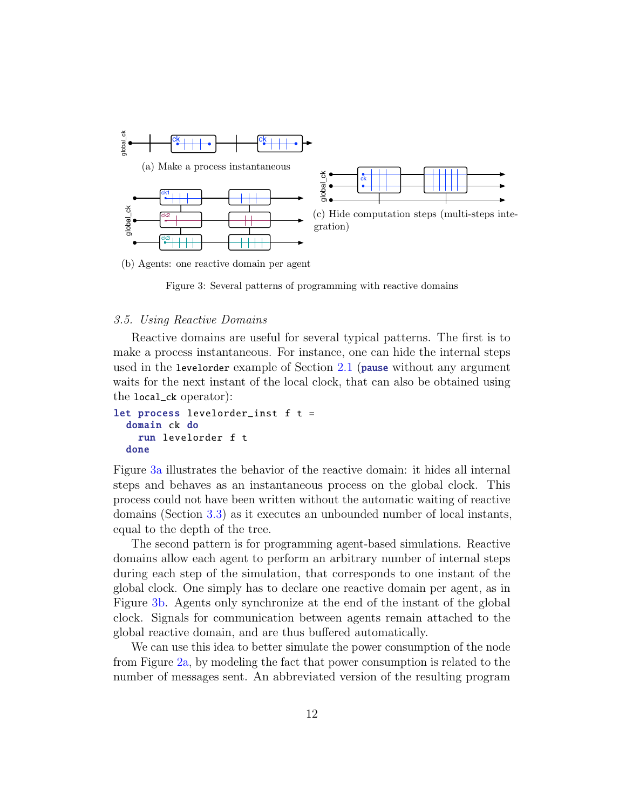<span id="page-11-1"></span><span id="page-11-0"></span>

(b) Agents: one reactive domain per agent

<span id="page-11-2"></span>Figure 3: Several patterns of programming with reactive domains

#### 3.5. Using Reactive Domains

Reactive domains are useful for several typical patterns. The first is to make a process instantaneous. For instance, one can hide the internal steps used in the levelorder example of Section [2.1](#page-2-4) (pause without any argument waits for the next instant of the local clock, that can also be obtained using the local\_ck operator):

```
let process levelorder_inst f t =
  domain ck do
    run levelorder f t
  done
```
Figure [3a](#page-11-0) illustrates the behavior of the reactive domain: it hides all internal steps and behaves as an instantaneous process on the global clock. This process could not have been written without the automatic waiting of reactive domains (Section [3.3\)](#page-9-0) as it executes an unbounded number of local instants, equal to the depth of the tree.

The second pattern is for programming agent-based simulations. Reactive domains allow each agent to perform an arbitrary number of internal steps during each step of the simulation, that corresponds to one instant of the global clock. One simply has to declare one reactive domain per agent, as in Figure [3b.](#page-11-1) Agents only synchronize at the end of the instant of the global clock. Signals for communication between agents remain attached to the global reactive domain, and are thus buffered automatically.

We can use this idea to better simulate the power consumption of the node from Figure [2a,](#page-5-0) by modeling the fact that power consumption is related to the number of messages sent. An abbreviated version of the resulting program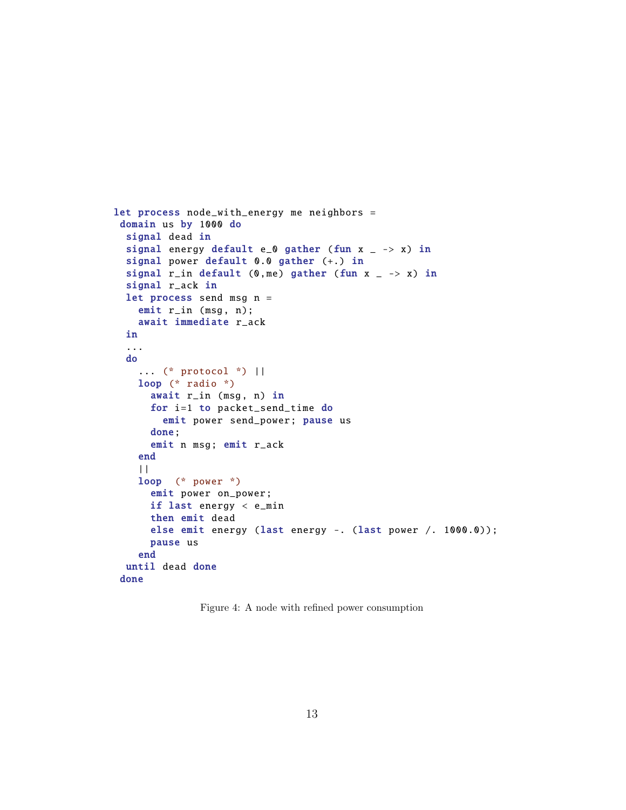```
let process node_with_energy me neighbors =
 domain us by 1000 do
  signal dead in
 signal energy default e_0 gather (fun x = -\rightarrow x) in
  signal power default 0.0 gather (+.) in
 signal r_in default (0, me) gather (fun x _ -> x) in
  signal r_ack in
 let process send msg n =
    emit r_in (msg, n);
    await immediate r_ack
  in
  ...
  do
    ... (* protocol *) ||
    loop (* radio *)
      await r_in (msg, n) in
      for i=1 to packet_send_time do
        emit power send_power ; pause us
      done;
      emit n msg; emit r_ack
    end
    | \cdot |loop (* power *)
      emit power on_power;
      if last energy < e_min
      then emit dead
      else emit energy (last energy -. (last power /. 1000.0));
      pause us
    end
  until dead done
 done
```
<span id="page-12-0"></span>Figure 4: A node with refined power consumption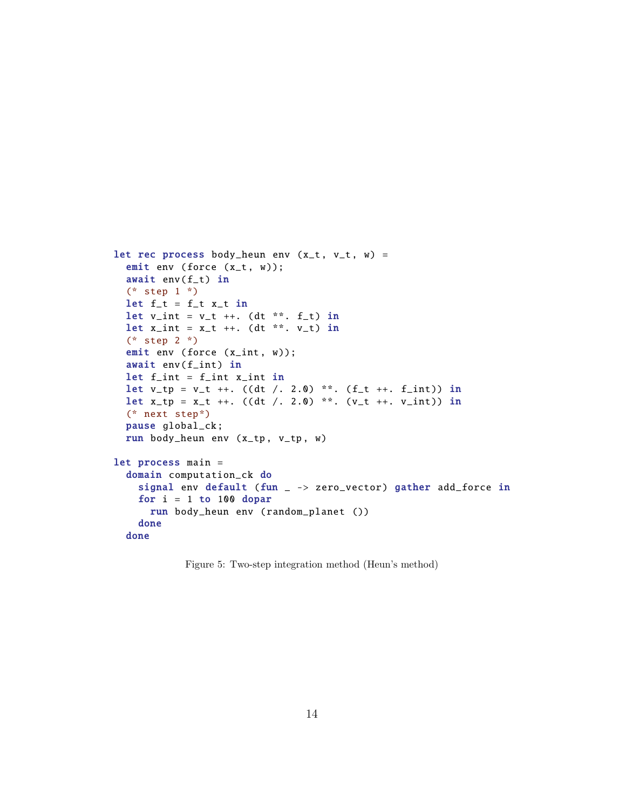```
let rec process body_heun env (x_t, v_t, w) =emit env (force (x_t, w));
  await env(f_t) in
  (* step 1 *)
  let f_t = f_t x_t in
  let v_{\text{int}} = v_{\text{t}} + 1. (dt **. f_{\text{t}}) in
  let x_int = x_t ++. (dt **. v_t) in
  (* step 2 *)
  emit env (force (x_int, w));
  await env(f_int) in
  let f_{\text{int}} = f_{\text{int}} x_{\text{int}} int in
  let v_t = v_t ++. ((dt /. 2.0) **. (f<sub>-t ++</sub>. f<sub>-</sub>int)) in
  let x_t = x_t ++. ((dt /. 2.0) **. (v_t ++. v_int)) in
  (* next step*)
  pause global_ck ;
  run body_heun env (x_tp , v_tp , w)
let process main =
  domain computation_ck do
    signal env default (fun _ -> zero_vector) gather add_force in
    for i = 1 to 100 dopar
      run body_heun env ( random_planet ())
    done
  done
```
<span id="page-13-0"></span>Figure 5: Two-step integration method (Heun's method)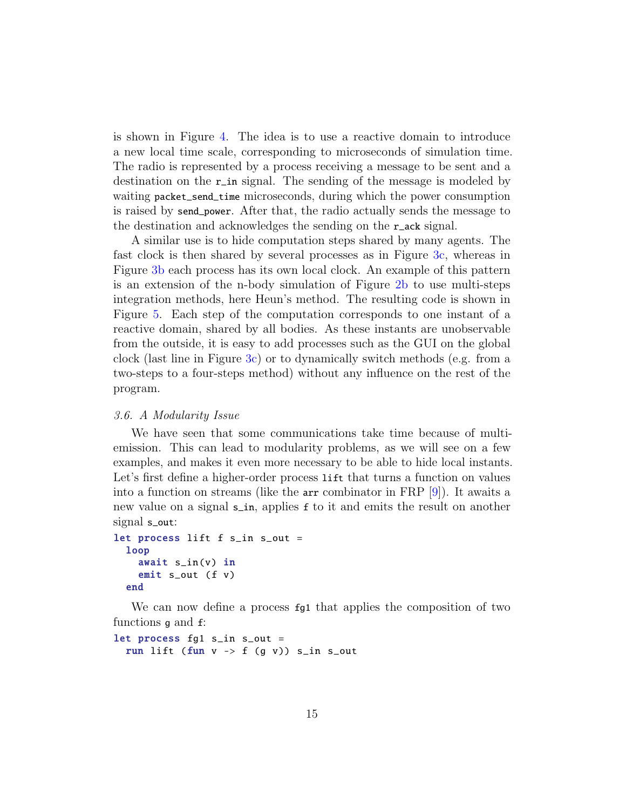is shown in Figure [4.](#page-12-0) The idea is to use a reactive domain to introduce a new local time scale, corresponding to microseconds of simulation time. The radio is represented by a process receiving a message to be sent and a destination on the r\_in signal. The sending of the message is modeled by waiting packet\_send\_time microseconds, during which the power consumption is raised by send\_power. After that, the radio actually sends the message to the destination and acknowledges the sending on the r\_ack signal.

A similar use is to hide computation steps shared by many agents. The fast clock is then shared by several processes as in Figure [3c,](#page-11-2) whereas in Figure [3b](#page-11-1) each process has its own local clock. An example of this pattern is an extension of the n-body simulation of Figure [2b](#page-0-0) to use multi-steps integration methods, here Heun's method. The resulting code is shown in Figure [5.](#page-13-0) Each step of the computation corresponds to one instant of a reactive domain, shared by all bodies. As these instants are unobservable from the outside, it is easy to add processes such as the GUI on the global clock (last line in Figure [3c\)](#page-11-2) or to dynamically switch methods (e.g. from a two-steps to a four-steps method) without any influence on the rest of the program.

#### 3.6. A Modularity Issue

We have seen that some communications take time because of multiemission. This can lead to modularity problems, as we will see on a few examples, and makes it even more necessary to be able to hide local instants. Let's first define a higher-order process lift that turns a function on values into a function on streams (like the arr combinator in FRP [\[9\]](#page-42-4)). It awaits a new value on a signal s\_in, applies f to it and emits the result on another signal s\_out:

```
let process lift f s_in s_out =
  loop
    await s_in(v) in
    emit s_out (f v)
  end
```
We can now define a process fg1 that applies the composition of two functions g and f:

let process fg1 s\_in s\_out = run lift (fun  $v \rightarrow f$  (g v)) s\_in s\_out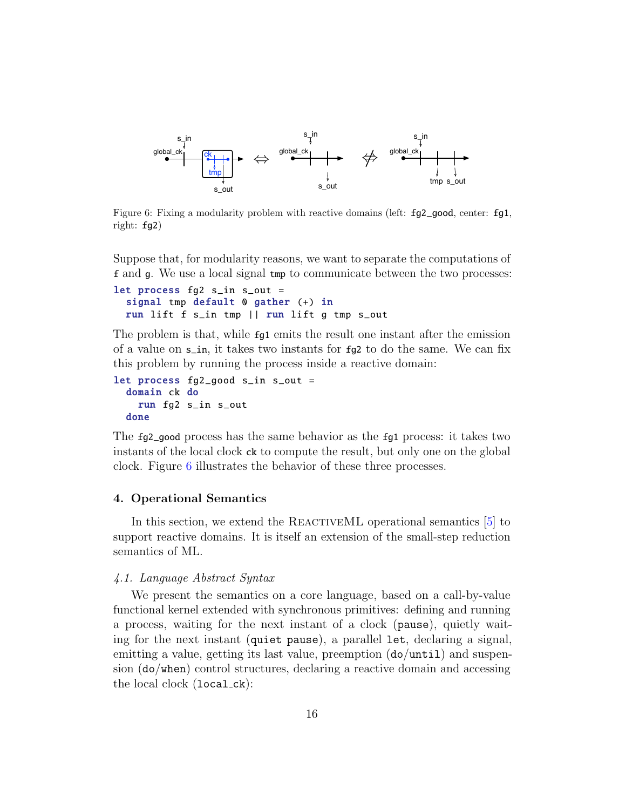

<span id="page-15-1"></span>Figure 6: Fixing a modularity problem with reactive domains (left: fg2\_good, center: fg1, right: fg2)

Suppose that, for modularity reasons, we want to separate the computations of f and g. We use a local signal tmp to communicate between the two processes:

```
let process fq2 s_in s_out =
  signal tmp default 0 gather (+) in
  run lift f s_in tmp || run lift g tmp s_out
```
The problem is that, while fg1 emits the result one instant after the emission of a value on s\_in, it takes two instants for fg2 to do the same. We can fix this problem by running the process inside a reactive domain:

```
let process fg2_good s_in s_out =
  domain ck do
    run fg2 s_in s_out
  done
```
The fg2\_good process has the same behavior as the fg1 process: it takes two instants of the local clock ck to compute the result, but only one on the global clock. Figure [6](#page-15-1) illustrates the behavior of these three processes.

#### <span id="page-15-0"></span>4. Operational Semantics

In this section, we extend the REACTIVEML operational semantics [\[5\]](#page-42-0) to support reactive domains. It is itself an extension of the small-step reduction semantics of ML.

#### 4.1. Language Abstract Syntax

We present the semantics on a core language, based on a call-by-value functional kernel extended with synchronous primitives: defining and running a process, waiting for the next instant of a clock (pause), quietly waiting for the next instant (quiet pause), a parallel let, declaring a signal, emitting a value, getting its last value, preemption (do/until) and suspension (do/when) control structures, declaring a reactive domain and accessing the local clock (local ck):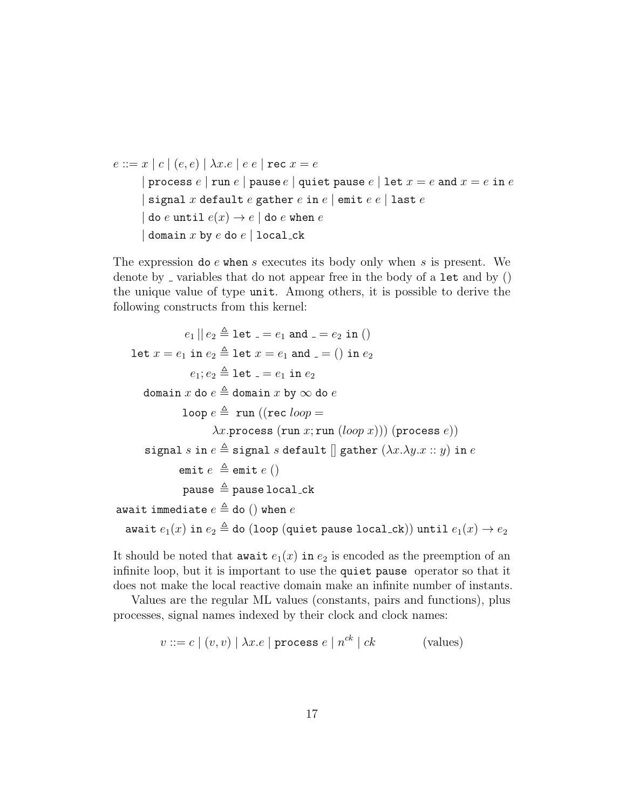```
e ::= x | c | (e, e) | \lambda x . e | e e | rec x = e| process e |run e | pause e | quiet pause e | let x = e and x = e in e| signal x default e gather e in e | emit e e | last e| do e until e(x) \rightarrow e | do e when e| domain x by e do e | local_ck
```
The expression do e when s executes its body only when s is present. We denote by  $\overline{\phantom{a}}$  variables that do not appear free in the body of a let and by () the unique value of type unit. Among others, it is possible to derive the following constructs from this kernel:

 $e_1 || e_2 \triangleq$  let  $e_1 = e_1$  and  $e_2 = e_2$  in () let  $x = e_1$  in  $e_2 \triangleq$  let  $x = e_1$  and  $z = 0$  in  $e_2$  $e_1$ ;  $e_2 \triangleq$  let  $e_1 = e_1$  in  $e_2$ domain  $x$  do  $e \triangleq$  domain  $x$  by  $\infty$  do  $e$ loop  $e \triangleq \text{run}$  ((rec loop =  $\lambda x.$ process (run x; run  $(logp x))$ ) (process e)) signal s in  $e \triangleq$  signal s default  $\parallel$  gather  $(\lambda x.\lambda y.x :: y)$  in  $e$ emit  $e \triangleq$ emit  $e$  () pause  $\triangleq$  pause local\_ck await immediate  $e \triangleq$  do () when e await  $e_1(x)$  in  $e_2 \triangleq$  do (loop (quiet pause local ck)) until  $e_1(x) \rightarrow e_2$ 

It should be noted that await  $e_1(x)$  in  $e_2$  is encoded as the preemption of an infinite loop, but it is important to use the quiet pause operator so that it does not make the local reactive domain make an infinite number of instants.

Values are the regular ML values (constants, pairs and functions), plus processes, signal names indexed by their clock and clock names:

$$
v ::= c \mid (v, v) \mid \lambda x. e \mid \text{process } e \mid n^{ck} \mid ck \tag{values}
$$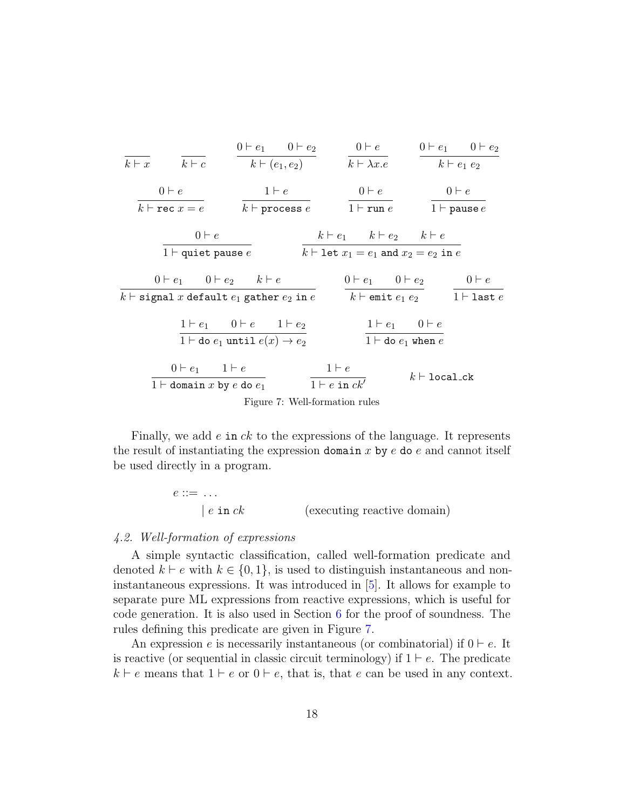

Finally, we add  $e$  in  $ck$  to the expressions of the language. It represents the result of instantiating the expression domain x by  $e$  do  $e$  and cannot itself be used directly in a program.

<span id="page-17-0"></span>
$$
e ::= \dots
$$
  
 
$$
| e \text{ in } ck
$$
 (executing reactive domain)

#### <span id="page-17-1"></span>4.2. Well-formation of expressions

A simple syntactic classification, called well-formation predicate and denoted  $k \vdash e$  with  $k \in \{0, 1\}$ , is used to distinguish instantaneous and noninstantaneous expressions. It was introduced in [\[5\]](#page-42-0). It allows for example to separate pure ML expressions from reactive expressions, which is useful for code generation. It is also used in Section [6](#page-29-0) for the proof of soundness. The rules defining this predicate are given in Figure [7.](#page-17-0)

An expression e is necessarily instantaneous (or combinatorial) if  $0 \vdash e$ . It is reactive (or sequential in classic circuit terminology) if  $1 \vdash e$ . The predicate  $k \vdash e$  means that  $1 \vdash e$  or  $0 \vdash e$ , that is, that e can be used in any context.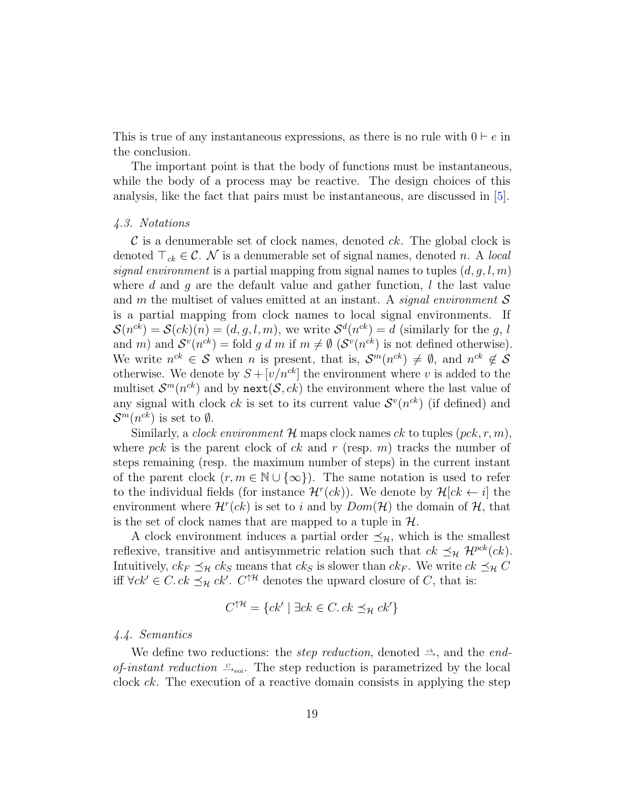This is true of any instantaneous expressions, as there is no rule with  $0 \vdash e$  in the conclusion.

The important point is that the body of functions must be instantaneous, while the body of a process may be reactive. The design choices of this analysis, like the fact that pairs must be instantaneous, are discussed in [\[5\]](#page-42-0).

#### 4.3. Notations

 $\mathcal C$  is a denumerable set of clock names, denoted  $ck$ . The global clock is denoted  $\top_{ck} \in \mathcal{C}$ . N is a denumerable set of signal names, denoted n. A local signal environment is a partial mapping from signal names to tuples  $(d, q, l, m)$ where d and q are the default value and gather function,  $l$  the last value and m the multiset of values emitted at an instant. A signal environment  $\mathcal S$ is a partial mapping from clock names to local signal environments. If  $\mathcal{S}(n^{ck}) = \mathcal{S}(ck)(n) = (d, g, l, m)$ , we write  $\mathcal{S}^d(n^{ck}) = d$  (similarly for the g, l and m) and  $S^{v}(n^{ck}) = \text{fold } g \ d \ m \ \text{if } m \neq \emptyset \ (\mathcal{S}^{v}(n^{ck}) \text{ is not defined otherwise}).$ We write  $n^{ck} \in \mathcal{S}$  when n is present, that is,  $\mathcal{S}^m(n^{ck}) \neq \emptyset$ , and  $n^{ck} \notin \mathcal{S}$ otherwise. We denote by  $S + [v/n^{ck}]$  the environment where v is added to the multiset  $\mathcal{S}^m(n^{ck})$  and by next $(\mathcal{S}, ck)$  the environment where the last value of any signal with clock  $ck$  is set to its current value  $S<sup>v</sup>(n<sup>ck</sup>)$  (if defined) and  $\mathcal{S}^m(n^{ck})$  is set to  $\emptyset$ .

Similarly, a *clock environment*  $\mathcal{H}$  maps clock names ck to tuples  $(pck, r, m)$ , where pck is the parent clock of ck and r (resp. m) tracks the number of steps remaining (resp. the maximum number of steps) in the current instant of the parent clock  $(r, m \in \mathbb{N} \cup \{\infty\})$ . The same notation is used to refer to the individual fields (for instance  $\mathcal{H}^r(ck)$ ). We denote by  $\mathcal{H}[ck \leftarrow i]$  the environment where  $\mathcal{H}^r(ck)$  is set to i and by  $Dom(\mathcal{H})$  the domain of  $\mathcal{H}$ , that is the set of clock names that are mapped to a tuple in  $H$ .

A clock environment induces a partial order  $\preceq_{\mathcal{H}}$ , which is the smallest reflexive, transitive and antisymmetric relation such that  $ck \preceq_{\mathcal{H}} \mathcal{H}^{pck}(ck)$ . Intuitively,  $ck_F \preceq_{\mathcal{H}} ck_S$  means that  $ck_S$  is slower than  $ck_F$ . We write  $ck \preceq_{\mathcal{H}} C$ iff ∀ck' ∈ C. ck  $\preceq_{\mathcal{H}} ck'$ .  $C^{\uparrow \mathcal{H}}$  denotes the upward closure of C, that is:

$$
C^{\uparrow\mathcal{H}} = \{ck' \mid \exists ck \in C. ck \preceq_{\mathcal{H}} ck'\}
$$

#### 4.4. Semantics

We define two reductions: the *step reduction*, denoted  $\xrightarrow{ck}$ , and the *end*of-instant reduction  $\leq_{\text{eoi}}$ . The step reduction is parametrized by the local clock ck. The execution of a reactive domain consists in applying the step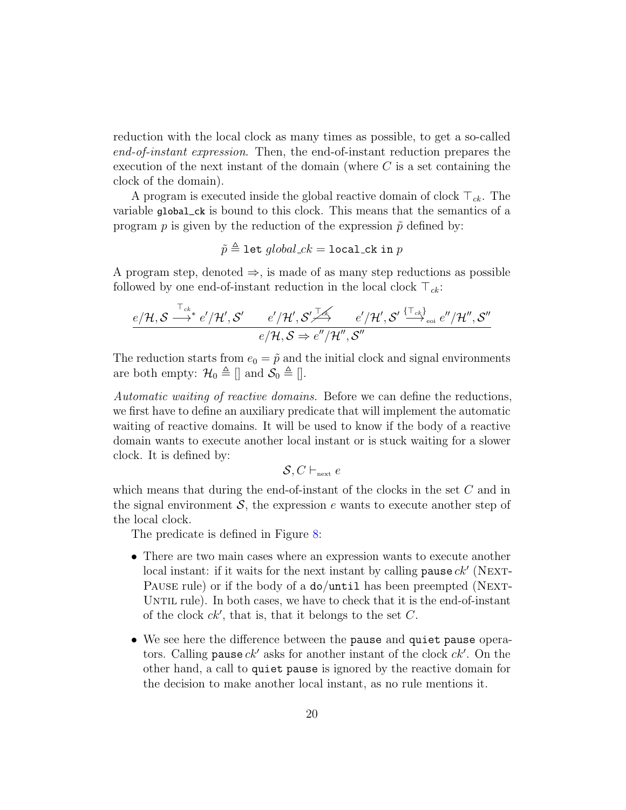reduction with the local clock as many times as possible, to get a so-called end-of-instant expression. Then, the end-of-instant reduction prepares the execution of the next instant of the domain (where  $C$  is a set containing the clock of the domain).

A program is executed inside the global reactive domain of clock  $\top_{ck}$ . The variable global\_ck is bound to this clock. This means that the semantics of a program p is given by the reduction of the expression  $\tilde{p}$  defined by:

$$
\tilde{p} \triangleq \texttt{let } global\_ck = \texttt{local\_ck in } p
$$

A program step, denoted  $\Rightarrow$ , is made of as many step reductions as possible followed by one end-of-instant reduction in the local clock  $\top_{ck}$ :

$$
\frac{e/\mathcal{H},\mathcal{S} \stackrel{\top_{ck}}{\longrightarrow} e'/\mathcal{H}',\mathcal{S}'}{e/\mathcal{H},\mathcal{S} \Rightarrow e''/\mathcal{H}'',\mathcal{S}'} \stackrel{e'/\mathcal{H}',\mathcal{S}'}{\longrightarrow} \frac{e'/\mathcal{H}',\mathcal{S}' \stackrel{\{\top_{ck}\}}{\longrightarrow}_{\text{eoi}} e''/\mathcal{H}'',\mathcal{S}''}{e/\mathcal{H},\mathcal{S} \Rightarrow e''/\mathcal{H}'',\mathcal{S}''}
$$

The reduction starts from  $e_0 = \tilde{p}$  and the initial clock and signal environments are both empty:  $\mathcal{H}_0 \triangleq \mathcal{F}$  and  $\mathcal{S}_0 \triangleq \mathcal{F}$ .

Automatic waiting of reactive domains. Before we can define the reductions, we first have to define an auxiliary predicate that will implement the automatic waiting of reactive domains. It will be used to know if the body of a reactive domain wants to execute another local instant or is stuck waiting for a slower clock. It is defined by:

$$
\mathcal{S}, C \vdash_{\mathrm{next}} e
$$

which means that during the end-of-instant of the clocks in the set  $C$  and in the signal environment  $\mathcal{S}$ , the expression e wants to execute another step of the local clock.

The predicate is defined in Figure [8:](#page-20-0)

- There are two main cases where an expression wants to execute another local instant: if it waits for the next instant by calling  $\mathsf{pause}\,ck'$  (NEXT-PAUSE rule) or if the body of a do/until has been preempted (NEXT-UNTIL rule). In both cases, we have to check that it is the end-of-instant of the clock  $ck'$ , that is, that it belongs to the set  $C$ .
- We see here the difference between the pause and quiet pause operators. Calling pause  $ck'$  asks for another instant of the clock  $ck'$ . On the other hand, a call to quiet pause is ignored by the reactive domain for the decision to make another local instant, as no rule mentions it.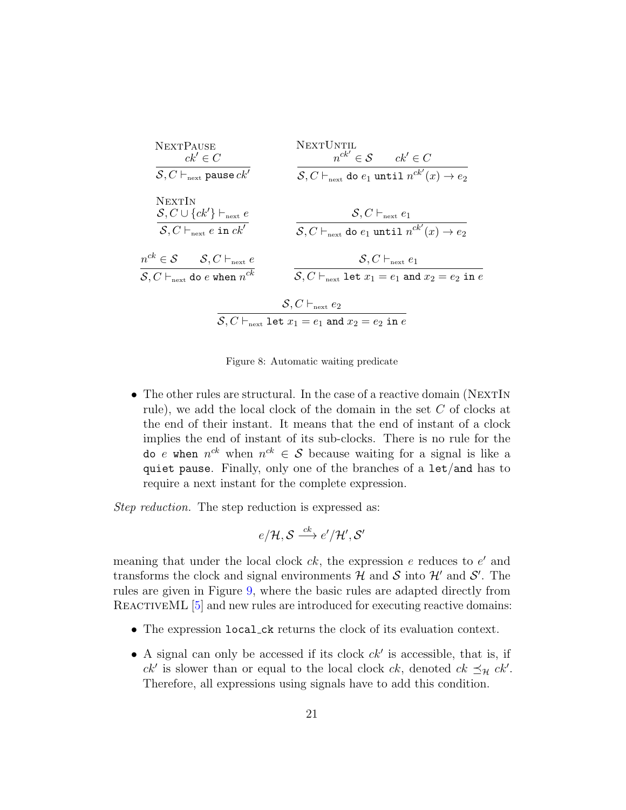

<span id="page-20-0"></span>Figure 8: Automatic waiting predicate

• The other rules are structural. In the case of a reactive domain (NEXTIN rule), we add the local clock of the domain in the set C of clocks at the end of their instant. It means that the end of instant of a clock implies the end of instant of its sub-clocks. There is no rule for the do e when  $n^{ck}$  when  $n^{ck} \in S$  because waiting for a signal is like a quiet pause. Finally, only one of the branches of a let/and has to require a next instant for the complete expression.

Step reduction. The step reduction is expressed as:

$$
e/\mathcal{H}, \mathcal{S} \stackrel{ck}{\longrightarrow} e'/\mathcal{H}', \mathcal{S}'
$$

meaning that under the local clock  $ck$ , the expression  $e$  reduces to  $e'$  and transforms the clock and signal environments  $\mathcal{H}$  and  $\mathcal{S}$  into  $\mathcal{H}'$  and  $\mathcal{S}'$ . The rules are given in Figure [9,](#page-21-0) where the basic rules are adapted directly from REACTIVEML [\[5\]](#page-42-0) and new rules are introduced for executing reactive domains:

- The expression local ck returns the clock of its evaluation context.
- A signal can only be accessed if its clock  $ck'$  is accessible, that is, if  $ck'$  is slower than or equal to the local clock  $ck$ , denoted  $ck \preceq_{\mathcal{H}} ck'.$ Therefore, all expressions using signals have to add this condition.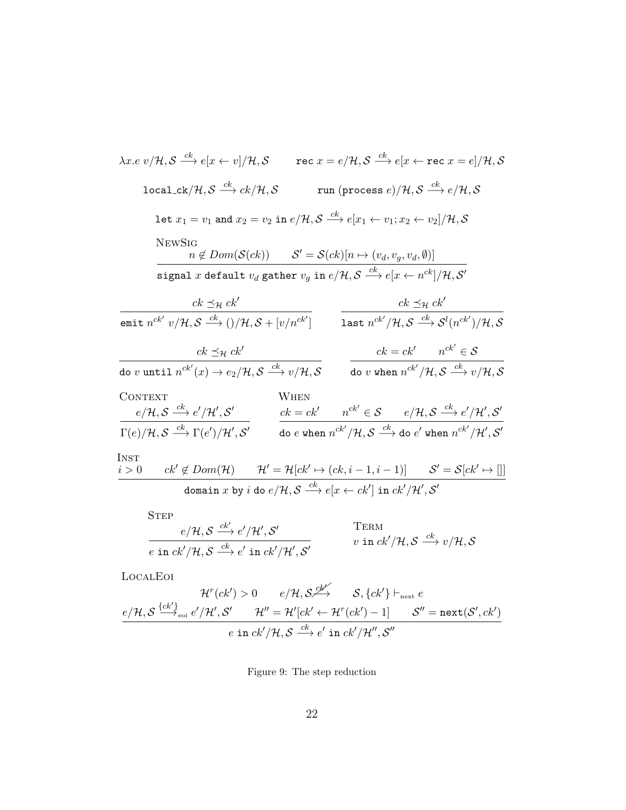| $\lambda x. e v/\mathcal{H}, \mathcal{S} \stackrel{ck}{\longrightarrow} e[x \leftarrow v]/\mathcal{H}, \mathcal{S}$                                                                      |                                                                                                                                      | rec $x = e/\mathcal{H}, \mathcal{S} \stackrel{ck}{\longrightarrow} e[x \leftarrow \texttt{rec}\ x = e]/\mathcal{H}, \mathcal{S}$ |                                                                                                                              |  |
|------------------------------------------------------------------------------------------------------------------------------------------------------------------------------------------|--------------------------------------------------------------------------------------------------------------------------------------|----------------------------------------------------------------------------------------------------------------------------------|------------------------------------------------------------------------------------------------------------------------------|--|
| $\texttt{local\_ck}/\mathcal{H}, \mathcal{S} \stackrel{ck}{\longrightarrow} ck/\mathcal{H}, \mathcal{S}$                                                                                 |                                                                                                                                      | run (process $e$ )/H, $\mathcal{S} \stackrel{ck}{\longrightarrow} e/\mathcal{H}, \mathcal{S}$                                    |                                                                                                                              |  |
| $\mathtt{let}\ x_1=v_1\ \mathtt{and}\ x_2=v_2\ \mathtt{in}\ e/\mathcal{H}, \mathcal{S}\stackrel{ck}{\longrightarrow} e[x_1\leftarrow v_1; x_2\leftarrow v_2]/\mathcal{H}, \mathcal{S}$   |                                                                                                                                      |                                                                                                                                  |                                                                                                                              |  |
| <b>NEWSIG</b>                                                                                                                                                                            | $n \notin Dom(S(ck))$ $S' = S(ck)[n \mapsto (v_d, v_a, v_d, \emptyset)]$                                                             |                                                                                                                                  |                                                                                                                              |  |
| $\texttt{signal}\;x\;\texttt{default}\;v_{d}\;\texttt{gather}\;v_{g}\;\texttt{in}\;e/\mathcal{H},\mathcal{S}\overset{ck}{\longrightarrow}e[x\leftarrow n^{ck}]/\mathcal{H},\mathcal{S}'$ |                                                                                                                                      |                                                                                                                                  |                                                                                                                              |  |
| $ck \preceq_{\mathcal{H}} ck'$                                                                                                                                                           |                                                                                                                                      |                                                                                                                                  | $ck \preceq_{\mathcal{H}} ck'$                                                                                               |  |
| emit $n^{ck'} v/\mathcal{H}, \mathcal{S} \stackrel{ck}{\longrightarrow} ()/\mathcal{H}, \mathcal{S} + [v/n^{ck'}]$                                                                       |                                                                                                                                      |                                                                                                                                  | last $n^{ck'}/\mathcal{H}$ , $\mathcal{S} \stackrel{ck}{\longrightarrow} \mathcal{S}^l(n^{ck'})/\mathcal{H}$ , $\mathcal{S}$ |  |
| $ck \preceq_{\mathcal{H}} ck'$                                                                                                                                                           |                                                                                                                                      |                                                                                                                                  | $ck = ck'$ $n^{ck'} \in S$                                                                                                   |  |
| do v until $n^{ck'}(x) \rightarrow e_2/\mathcal{H}, \mathcal{S} \xrightarrow{ck} v/\mathcal{H}, \mathcal{S}$                                                                             |                                                                                                                                      |                                                                                                                                  | do $v$ when $n^{ck'}/\mathcal{H}, \mathcal{S} \stackrel{ck}{\longrightarrow} v/\mathcal{H}, \mathcal{S}$                     |  |
| <b>CONTEXT</b>                                                                                                                                                                           | WHEN                                                                                                                                 |                                                                                                                                  |                                                                                                                              |  |
| $e/\mathcal{H}, \mathcal{S} \stackrel{ck}{\longrightarrow} e'/\mathcal{H}', \mathcal{S}'$                                                                                                |                                                                                                                                      | $ck = ck'$ $n^{ck'} \in S$ $e/\mathcal{H}, S \stackrel{ck}{\longrightarrow} e'/\mathcal{H}', S'$                                 |                                                                                                                              |  |
| $\Gamma(e)/\mathcal{H}, \mathcal{S} \stackrel{ck}{\longrightarrow} \Gamma(e')/\mathcal{H}', \mathcal{S}'$                                                                                |                                                                                                                                      | do e when $n^{ck'}/\mathcal{H}, \mathcal{S} \stackrel{ck}{\longrightarrow}$ do e' when $n^{ck'}/\mathcal{H}', \mathcal{S}'$      |                                                                                                                              |  |
| Inst                                                                                                                                                                                     |                                                                                                                                      |                                                                                                                                  |                                                                                                                              |  |
| $ck' \notin Dom(\mathcal{H})$ $\mathcal{H}' = \mathcal{H}[ck' \mapsto (ck, i-1, i-1)]$ $\mathcal{S}' = \mathcal{S}[ck' \mapsto []$<br>i>0                                                |                                                                                                                                      |                                                                                                                                  |                                                                                                                              |  |
|                                                                                                                                                                                          | domain x by i do $e/\mathcal{H}, \mathcal{S} \stackrel{ck}{\longrightarrow} e[x \leftarrow ck']$ in $ck'/\mathcal{H}', \mathcal{S}'$ |                                                                                                                                  |                                                                                                                              |  |
| <b>STEP</b>                                                                                                                                                                              |                                                                                                                                      |                                                                                                                                  |                                                                                                                              |  |
| $e/H S \xrightarrow{ck'} e'/\mathcal{H'} S'$                                                                                                                                             |                                                                                                                                      | TERM                                                                                                                             |                                                                                                                              |  |

$$
\frac{e/\mathcal{H}, \mathcal{S} \xrightarrow{ck'} e'/\mathcal{H}', \mathcal{S}'}{e \text{ in } ck'/\mathcal{H}, \mathcal{S} \xrightarrow{ck} e' \text{ in } ck'/\mathcal{H}, \mathcal{S}'} \qquad \qquad \begin{array}{c}\text{TERM} \\ v \text{ in } ck'/\mathcal{H}, \mathcal{S} \xrightarrow{ck} v/\mathcal{H}, \mathcal{S} \xrightarrow{ck} v/\mathcal{H}, \mathcal{S} \xrightarrow{ck} v/\mathcal{H} \xrightarrow{ck} c \xrightarrow{ck'} c \xrightarrow{ck'} c \xrightarrow{ck'} c \xrightarrow{ck'} c \xrightarrow{ck'} c \xrightarrow{ck'} c \xrightarrow{ck'} c \xrightarrow{ck'} c \xrightarrow{ck'} c \xrightarrow{ck'} c \xrightarrow{ck'} c \xrightarrow{ck'} c \xrightarrow{ck'} c \xrightarrow{ck'} c \xrightarrow{ck'} c \xrightarrow{ck'} c \xrightarrow{ck'} c \xrightarrow{ck'} c \xrightarrow{ck'} c \xrightarrow{ck'} c \xrightarrow{ck'} c \xrightarrow{ck'} c \xrightarrow{ck'} c \xrightarrow{ck'} c \xrightarrow{ck'} c \xrightarrow{ck'} c \xrightarrow{ck'} c \xrightarrow{ck'} c \xrightarrow{ck'} c \xrightarrow{ck'} c \xrightarrow{ck'} c \xrightarrow{ck'} c \xrightarrow{ck'} c \xrightarrow{ck'} c \xrightarrow{ck'} c \xrightarrow{ck'} c \xrightarrow{ck'} c \xrightarrow{ck'} c \xrightarrow{ck'} c \xrightarrow{ck'} c \xrightarrow{ck'} c \xrightarrow{ck'} c \xrightarrow{ck'} c \xrightarrow{ck'} c \xrightarrow{ck'} c \xrightarrow{ck'} c \xrightarrow{ck'} c \xrightarrow{ck'} c \xrightarrow{ck'} c \xrightarrow{ck'} c \xrightarrow{ck'} c \xrightarrow{ck'} c \xrightarrow{ck'} c \xrightarrow{ck'} c \xrightarrow{ck'} c \xrightarrow{ck'} c \xrightarrow{ck'} c \xrightarrow{ck'} c \xrightarrow{ck'} c \xrightarrow{ck'} c \xrightarrow{ck'} c \xrightarrow{ck'} c \xrightarrow{ck'} c \xrightarrow{ck'} c \xrightarrow{ck'} c \xrightarrow{ck'} c \xrightarrow{ck'} c \xrightarrow{ck'} c \xrightarrow{ck'} c \xrightarrow{ck'} c \xrightarrow{ck'} c \xrightarrow{ck'} c \xrightarrow{ck'} c \xrightarrow{ck'} c \xrightarrow{ck'} c \xrightarrow{ck'} c \xrightarrow{ck'} c \xrightarrow{ck'} c \xrightarrow{ck'} c \xrightarrow{ck'} c \xrightarrow{ck'} c \xrightarrow{ck'} c \xrightarrow
$$

LocalEoi

$$
\mathcal{H}^r(ck') > 0 \qquad e/\mathcal{H}, \mathcal{S} \overset{\mathcal{L}^{k'}}{\longrightarrow} \qquad \mathcal{S}, \{ck'\} \vdash_{\text{next}} e
$$
\n
$$
\frac{e/\mathcal{H}, \mathcal{S} \overset{\{\mathcal{L}ck'\}}{\longrightarrow}_{\text{eoi}} e'/\mathcal{H}', \mathcal{S}' \qquad \mathcal{H}'' = \mathcal{H}'[ck' \leftarrow \mathcal{H}^r(ck') - 1] \qquad \mathcal{S}'' = \text{next}(\mathcal{S}', ck')
$$
\n
$$
e \text{ in } ck'/\mathcal{H}, \mathcal{S} \overset{ck}{\longrightarrow} e' \text{ in } ck'/\mathcal{H}'', \mathcal{S}''
$$

<span id="page-21-0"></span>Figure 9: The step reduction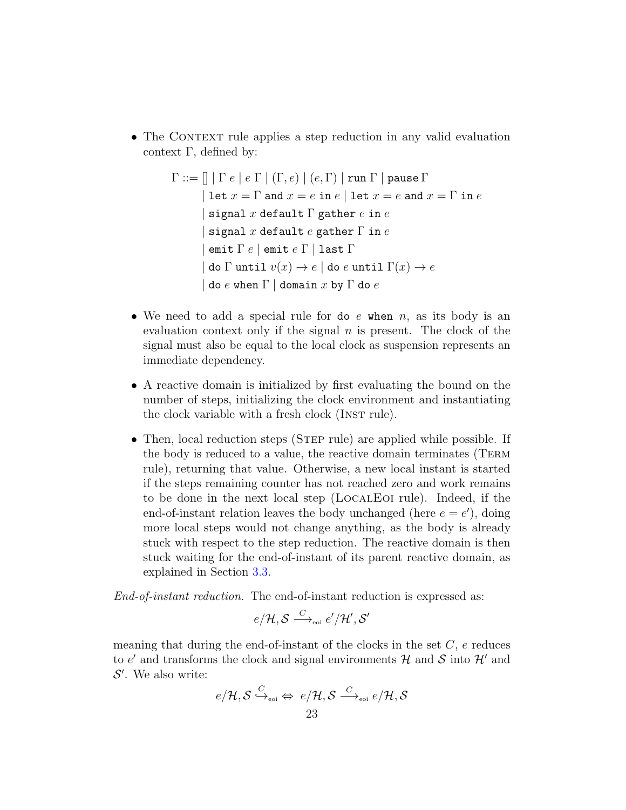• The CONTEXT rule applies a step reduction in any valid evaluation context Γ, defined by:

```
\Gamma ::= \left[ \mid \Gamma e \mid e \Gamma \mid (\Gamma, e) \mid (e, \Gamma) \mid \text{run } \Gamma \mid \text{pause } \Gamma \right]| let x = \Gamma and x = e in e | let x = e and x = \Gamma in e| signal x default \Gamma gather e in esignal x default e gather \Gamma in e
        | emit \Gamma e | emit e \Gamma | last \Gamma| do \Gamma until v(x) \to e | do e until \Gamma(x) \to edo e when \Gamma | domain x by \Gamma do e
```
- We need to add a special rule for do  $e$  when  $n$ , as its body is an evaluation context only if the signal  $n$  is present. The clock of the signal must also be equal to the local clock as suspension represents an immediate dependency.
- A reactive domain is initialized by first evaluating the bound on the number of steps, initializing the clock environment and instantiating the clock variable with a fresh clock (INST rule).
- Then, local reduction steps (STEP rule) are applied while possible. If the body is reduced to a value, the reactive domain terminates (Term rule), returning that value. Otherwise, a new local instant is started if the steps remaining counter has not reached zero and work remains to be done in the next local step (LocalEoi rule). Indeed, if the end-of-instant relation leaves the body unchanged (here  $e = e'$ ), doing more local steps would not change anything, as the body is already stuck with respect to the step reduction. The reactive domain is then stuck waiting for the end-of-instant of its parent reactive domain, as explained in Section [3.3.](#page-9-0)

End-of-instant reduction. The end-of-instant reduction is expressed as:

$$
e/\mathcal{H}, \mathcal{S} \stackrel{C}{\longrightarrow}_{\scriptscriptstyle \mathrm{eoi}} e'/\mathcal{H}', \mathcal{S}'
$$

meaning that during the end-of-instant of the clocks in the set  $C$ ,  $e$  reduces to  $e'$  and transforms the clock and signal environments  $\mathcal{H}$  and  $\mathcal{S}$  into  $\mathcal{H}'$  and  $\mathcal{S}'$ . We also write:

$$
\begin{aligned}\ne/\mathcal{H},\mathcal{S} &\stackrel{C}{\hookrightarrow}_{\scriptscriptstyle{\text{eoi}}} \Leftrightarrow e/\mathcal{H},\mathcal{S} \stackrel{C}{\longrightarrow}_{\scriptscriptstyle{\text{eoi}}} e/\mathcal{H},\mathcal{S} \\ &23\end{aligned}
$$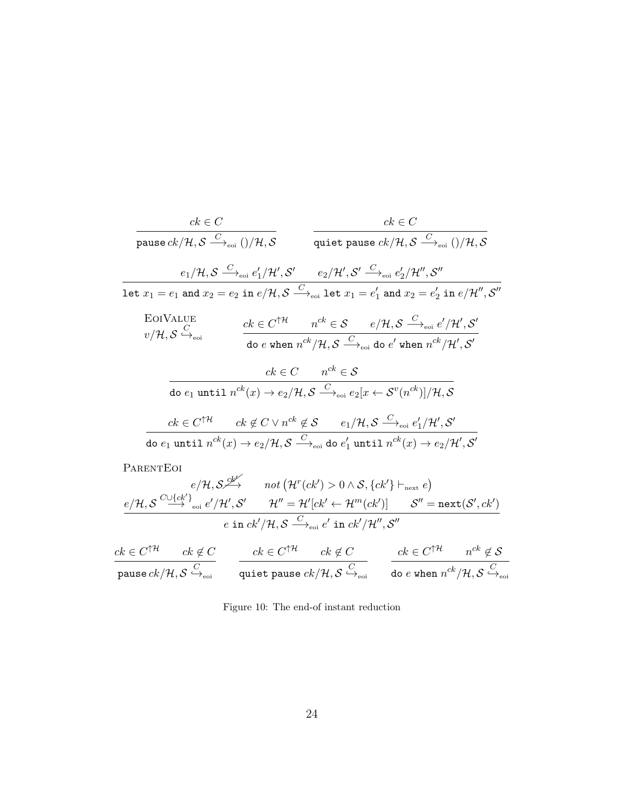$$
\frac{ck \in C}{\text{ pause } ck/\mathcal{H}, \mathcal{S} \xrightarrow{C}_{\text{eoi}} ()/\mathcal{H}, \mathcal{S}} \qquad \frac{ck \in C}{\text{quite pause } ck/\mathcal{H}, \mathcal{S} \xrightarrow{C}_{\text{eoi}} ()/\mathcal{H}, \mathcal{S}}\n= \frac{e_1/\mathcal{H}, \mathcal{S} \xrightarrow{C}_{\text{eoi}} e'_1/\mathcal{H}', \mathcal{S}' \xrightarrow{e_2/\mathcal{H}', \mathcal{S}' \xrightarrow{C}_{\text{eoi}} e'_2/\mathcal{H}'', \mathcal{S}''}}{\text{let } x_1 = e_1 \text{ and } x_2 = e_2 \text{ in } e/\mathcal{H}, \mathcal{S} \xrightarrow{C}_{\text{eoi}} \text{let } x_1 = e'_1 \text{ and } x_2 = e'_2 \text{ in } e/\mathcal{H}'', \mathcal{S}''}\n\text{EoIVALUE}\n $v/\mathcal{H}, \mathcal{S} \xrightarrow{C}_{\text{eoi}} \qquad \frac{ck \in C^{\uparrow\mathcal{H}} \quad n^{ck} \in \mathcal{S} \quad e/\mathcal{H}, \mathcal{S} \xrightarrow{C}_{\text{eoi}} e'/\mathcal{H}', \mathcal{S}'}{\text{do } e \text{ when } n^{ck}/\mathcal{H}, \mathcal{S} \xrightarrow{C}_{\text{eoi}} \text{do } e' \text{ when } n^{ck}/\mathcal{H}', \mathcal{S}'}$ \n
$$
\text{do } e_1 \text{ until } n^{ck}(x) \rightarrow e_2/\mathcal{H}, \mathcal{S} \xrightarrow{C}_{\text{eoi}} e_2[x \leftarrow \mathcal{S}^v(n^{ck})]/\mathcal{H}, \mathcal{S}
$$
\n
$$
\text{do } e_1 \text{ until } n^{ck}(x) \rightarrow e_2/\mathcal{H}, \mathcal{S} \xrightarrow{C}_{\text{eoi}} \text{do } e'_1 \text{ until } n^{ck}(x) \rightarrow e_2/\mathcal{H}', \mathcal{S}'
$$
\n
$$
\text{PARENTEOI}
$$
$$

$$
e/\mathcal{H}, \mathcal{S} \xrightarrow{c\mathcal{U} \{ck'\}} \quad not \left(\mathcal{H}^r(ck') > 0 \land \mathcal{S}, \{ck'\} \vdash_{\text{next}} e\right) \n e/\mathcal{H}, \mathcal{S} \xrightarrow{C\cup \{ck'\}} \text{eoi } e'/\mathcal{H}', \mathcal{S}' \qquad \mathcal{H}'' = \mathcal{H}'[ck' \leftarrow \mathcal{H}^m(ck')] \qquad \mathcal{S}'' = \text{next}(\mathcal{S}', ck')
$$
\n
$$
e \text{ in } ck'/\mathcal{H}, \mathcal{S} \xrightarrow{C} \text{eoi } e' \text{ in } ck'/\mathcal{H}'', \mathcal{S}''
$$

$$
\frac{ck \in C^{\uparrow \mathcal{H}} \qquad ck \notin C}{\text{pause } ck/\mathcal{H}, \mathcal{S} \xrightarrow{C}_{\text{eoi}}} \qquad \frac{ck \in C^{\uparrow \mathcal{H}} \qquad ck \notin C}{\text{quiet pause } ck/\mathcal{H}, \mathcal{S} \xrightarrow{C}_{\text{eoi}}} \qquad \frac{ck \in C^{\uparrow \mathcal{H}} \qquad n^{ck} \notin \mathcal{S}}{\text{do } e \text{ when } n^{ck}/\mathcal{H}, \mathcal{S} \xrightarrow{C}_{\text{eoi}}}.
$$

<span id="page-23-0"></span>Figure 10: The end-of instant reduction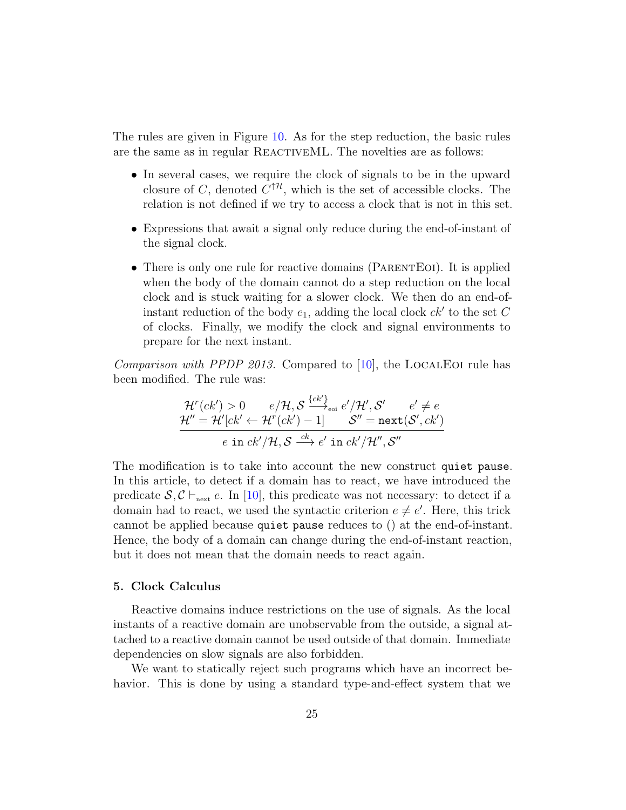The rules are given in Figure [10.](#page-23-0) As for the step reduction, the basic rules are the same as in regular REACTIVEML. The novelties are as follows:

- In several cases, we require the clock of signals to be in the upward closure of C, denoted  $C^{\dagger H}$ , which is the set of accessible clocks. The relation is not defined if we try to access a clock that is not in this set.
- Expressions that await a signal only reduce during the end-of-instant of the signal clock.
- There is only one rule for reactive domains (PARENTEOI). It is applied when the body of the domain cannot do a step reduction on the local clock and is stuck waiting for a slower clock. We then do an end-ofinstant reduction of the body  $e_1$ , adding the local clock  $ck'$  to the set C of clocks. Finally, we modify the clock and signal environments to prepare for the next instant.

*Comparison with PPDP 2013.* Compared to  $[10]$ , the LOCALEOI rule has been modified. The rule was:

$$
\mathcal{H}^r(ck') > 0 \qquad e/\mathcal{H}, \mathcal{S} \xrightarrow{\{ck'\}}_{\text{eoi}} e'/\mathcal{H}', \mathcal{S}' \qquad e' \neq e
$$
\n
$$
\mathcal{H}'' = \mathcal{H}'[ck' \leftarrow \mathcal{H}^r(ck') - 1] \qquad \mathcal{S}'' = \text{next}(\mathcal{S}', ck')
$$
\n
$$
e \text{ in } ck'/\mathcal{H}, \mathcal{S} \xrightarrow{ck} e' \text{ in } ck'/\mathcal{H}'', \mathcal{S}''
$$

The modification is to take into account the new construct quiet pause. In this article, to detect if a domain has to react, we have introduced the predicate  $S, C \vdash_{\text{next}} e$ . In [\[10\]](#page-42-5), this predicate was not necessary: to detect if a domain had to react, we used the syntactic criterion  $e \neq e'$ . Here, this trick cannot be applied because quiet pause reduces to () at the end-of-instant. Hence, the body of a domain can change during the end-of-instant reaction, but it does not mean that the domain needs to react again.

#### <span id="page-24-0"></span>5. Clock Calculus

Reactive domains induce restrictions on the use of signals. As the local instants of a reactive domain are unobservable from the outside, a signal attached to a reactive domain cannot be used outside of that domain. Immediate dependencies on slow signals are also forbidden.

We want to statically reject such programs which have an incorrect behavior. This is done by using a standard type-and-effect system that we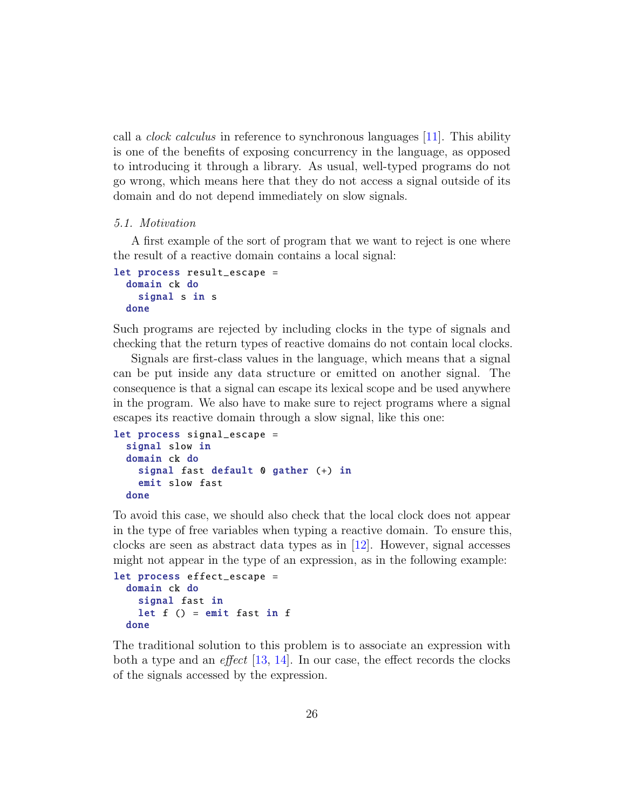call a clock calculus in reference to synchronous languages [\[11\]](#page-42-6). This ability is one of the benefits of exposing concurrency in the language, as opposed to introducing it through a library. As usual, well-typed programs do not go wrong, which means here that they do not access a signal outside of its domain and do not depend immediately on slow signals.

#### 5.1. Motivation

A first example of the sort of program that we want to reject is one where the result of a reactive domain contains a local signal:

```
let process result_escape =
  domain ck do
    signal s in s
  done
```
Such programs are rejected by including clocks in the type of signals and checking that the return types of reactive domains do not contain local clocks.

Signals are first-class values in the language, which means that a signal can be put inside any data structure or emitted on another signal. The consequence is that a signal can escape its lexical scope and be used anywhere in the program. We also have to make sure to reject programs where a signal escapes its reactive domain through a slow signal, like this one:

```
let process signal_escape =
  signal slow in
  domain ck do
    signal fast default 0 gather (+) in
    emit slow fast
  done
```
To avoid this case, we should also check that the local clock does not appear in the type of free variables when typing a reactive domain. To ensure this, clocks are seen as abstract data types as in [\[12\]](#page-42-7). However, signal accesses might not appear in the type of an expression, as in the following example:

```
let process effect_escape =
  domain ck do
    signal fast in
    let f() = emit fast in fdone
```
The traditional solution to this problem is to associate an expression with both a type and an *effect* [\[13,](#page-42-8) [14\]](#page-42-9). In our case, the effect records the clocks of the signals accessed by the expression.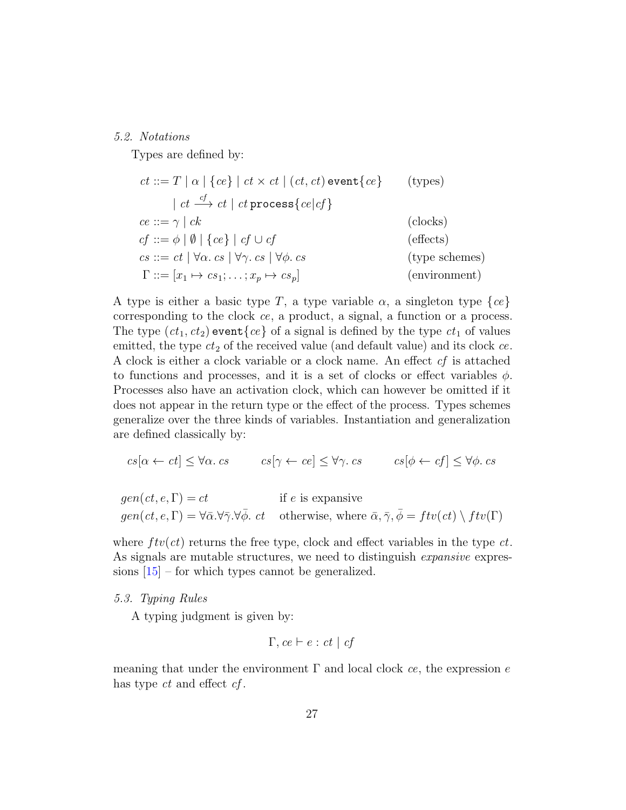#### 5.2. Notations

Types are defined by:

$$
ct ::= T | \alpha | \{ce\} | ct \times ct | (ct, ct) \text{ event} \{ce\} \qquad \text{(types)}
$$
\n
$$
| ct \xrightarrow{cf} ct | ct \text{ process} \{ce | cf\}
$$
\n
$$
ce ::= \gamma | ck \qquad \text{(clocks)}
$$
\n
$$
cf ::= \phi | \emptyset | \{ce\} | cf \cup cf \qquad \text{(effects)}
$$
\n
$$
cs ::= ct | \forall \alpha \cdot cs | \forall \gamma \cdot cs | \forall \phi \cdot cs \qquad \text{(type schemes)}
$$
\n
$$
\Gamma ::= [x_1 \mapsto cs_1; \dots; x_p \mapsto cs_p] \qquad \text{(environment)}
$$

A type is either a basic type T, a type variable  $\alpha$ , a singleton type  $\{ce\}$ corresponding to the clock ce, a product, a signal, a function or a process. The type  $(ct_1, ct_2)$  event $\{ce\}$  of a signal is defined by the type  $ct_1$  of values emitted, the type  $ct_2$  of the received value (and default value) and its clock  $ce$ . A clock is either a clock variable or a clock name. An effect cf is attached to functions and processes, and it is a set of clocks or effect variables  $\phi$ . Processes also have an activation clock, which can however be omitted if it does not appear in the return type or the effect of the process. Types schemes generalize over the three kinds of variables. Instantiation and generalization are defined classically by:

$$
cs[\alpha \leftarrow ct] \leq \forall \alpha \cdot cs \qquad cs[\gamma \leftarrow ce] \leq \forall \gamma \cdot cs \qquad cs[\phi \leftarrow cf] \leq \forall \phi \cdot cs
$$

$$
gen(ct, e, \Gamma) = ct
$$
 if e is expensive  

$$
gen(ct, e, \Gamma) = \forall \bar{\alpha} . \forall \bar{\gamma} . \forall \bar{\phi} . ct
$$
 otherwise, where  $\bar{\alpha} . \bar{\gamma} . \bar{\phi} = ftv(ct) \setminus ftv(\Gamma)$ 

where  $ftv(ct)$  returns the free type, clock and effect variables in the type  $ct$ . As signals are mutable structures, we need to distinguish *expansive* expressions  $[15]$  – for which types cannot be generalized.

5.3. Typing Rules

A typing judgment is given by:

$$
\Gamma, ce \vdash e : ct \mid cf
$$

meaning that under the environment  $\Gamma$  and local clock ce, the expression e has type ct and effect cf.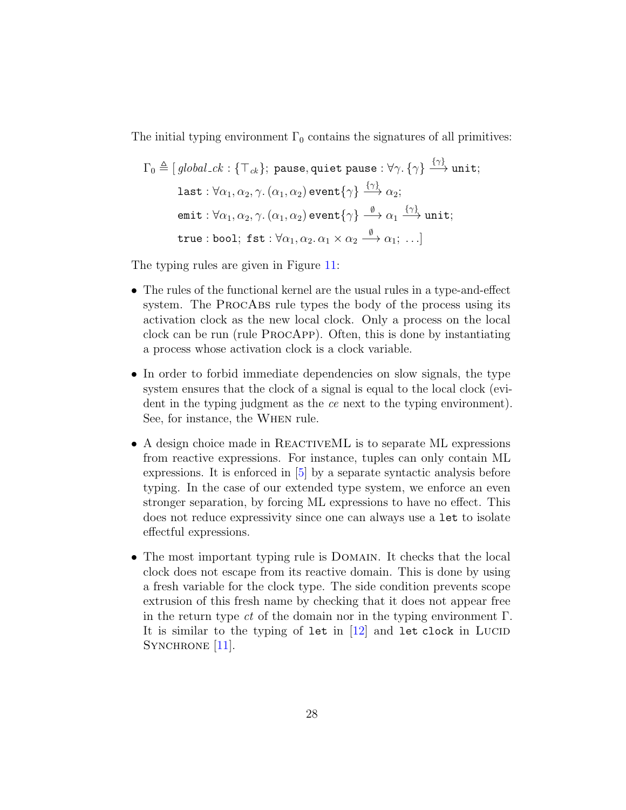The initial typing environment  $\Gamma_0$  contains the signatures of all primitives:

$$
\Gamma_0 \triangleq [global_c k : \{\top_{ck}\}; \text{ pause}, \text{quiet pause} : \forall \gamma. \{\gamma\} \xrightarrow{\{\gamma\}} \text{unit};
$$
\n
$$
\text{last} : \forall \alpha_1, \alpha_2, \gamma. (\alpha_1, \alpha_2) \text{ event}\{\gamma\} \xrightarrow{\{\gamma\}} \alpha_2;
$$
\n
$$
\text{emit} : \forall \alpha_1, \alpha_2, \gamma. (\alpha_1, \alpha_2) \text{ event}\{\gamma\} \xrightarrow{\emptyset} \alpha_1 \xrightarrow{\{\gamma\}} \text{unit};
$$
\n
$$
\text{true} : \text{bool}; \text{fst} : \forall \alpha_1, \alpha_2. \alpha_1 \times \alpha_2 \xrightarrow{\emptyset} \alpha_1; \dots]
$$

The typing rules are given in Figure [11:](#page-28-0)

- The rules of the functional kernel are the usual rules in a type-and-effect system. The PROCABS rule types the body of the process using its activation clock as the new local clock. Only a process on the local clock can be run (rule ProcApp). Often, this is done by instantiating a process whose activation clock is a clock variable.
- In order to forbid immediate dependencies on slow signals, the type system ensures that the clock of a signal is equal to the local clock (evident in the typing judgment as the ce next to the typing environment). See, for instance, the When rule.
- A design choice made in REACTIVEML is to separate ML expressions from reactive expressions. For instance, tuples can only contain ML expressions. It is enforced in [\[5\]](#page-42-0) by a separate syntactic analysis before typing. In the case of our extended type system, we enforce an even stronger separation, by forcing ML expressions to have no effect. This does not reduce expressivity since one can always use a let to isolate effectful expressions.
- The most important typing rule is DOMAIN. It checks that the local clock does not escape from its reactive domain. This is done by using a fresh variable for the clock type. The side condition prevents scope extrusion of this fresh name by checking that it does not appear free in the return type ct of the domain nor in the typing environment  $\Gamma$ . It is similar to the typing of let in  $[12]$  and let clock in Lucid SYNCHRONE [\[11\]](#page-42-6).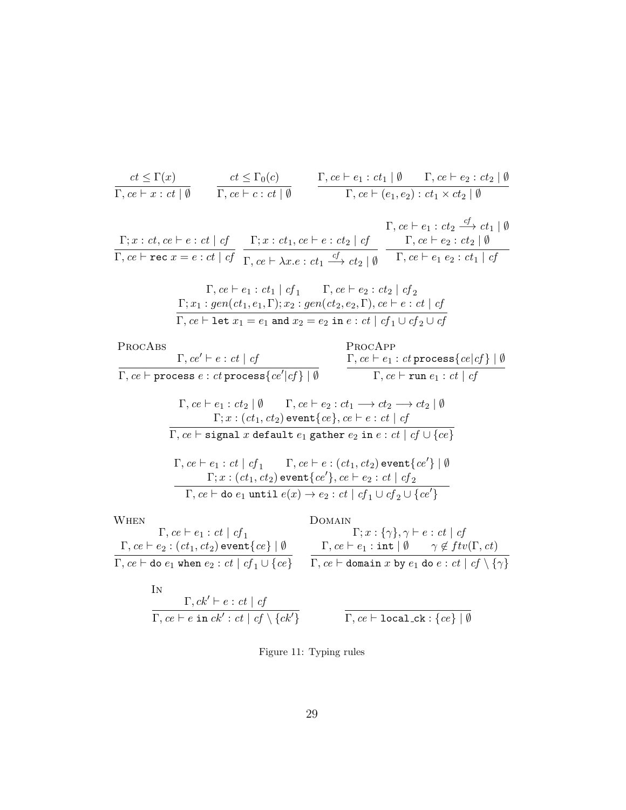$$
\frac{ct \le \Gamma(x)}{\Gamma, ce \vdash x : ct \mid \emptyset} \qquad \frac{ct \le \Gamma_0(c)}{\Gamma, ce \vdash c : ct \mid \emptyset} \qquad \frac{\Gamma, ce \vdash e_1 : ct_1 \mid \emptyset \qquad \Gamma, ce \vdash e_2 : ct_2 \mid \emptyset}{\Gamma, ce \vdash (e_1, e_2) : ct_1 \times ct_2 \mid \emptyset}
$$

 $\Gamma; x:ct, ce \vdash e:ct \mid cf$  $Γ, ce \vdash$  rec  $x = e : ct \mid cf$  $\Gamma; x : ct_1, ce \vdash e : ct_2 \mid cf$  $\Gamma, ce \vdash \lambda x.e : ct_1 \stackrel{cf}{\longrightarrow} ct_2 \mid \emptyset$  $\Gamma, ce \vdash e_1 : ct_2 \xrightarrow{cf} ct_1 \mid \emptyset$  $\Gamma, ce \vdash e_2 : ct_2 \mid \emptyset$  $\Gamma, ce \vdash e_1 \ e_2 : ct_1 \mid cf$ 

$$
\Gamma, ce \vdash e_1 : ct_1 \mid cf_1 \qquad \Gamma, ce \vdash e_2 : ct_2 \mid cf_2
$$
\n
$$
\Gamma; x_1 : gen(ct_1, e_1, \Gamma); x_2 : gen(ct_2, e_2, \Gamma), ce \vdash e : ct \mid cf
$$
\n
$$
\Gamma, ce \vdash \text{let } x_1 = e_1 \text{ and } x_2 = e_2 \text{ in } e : ct \mid cf_1 \cup cf_2 \cup cf
$$

ProcAbs  $\Gamma, ce' \vdash e : ct \mid cf$  $\overline{\Gamma, c e \vdash \texttt{process}\, e : c t \, \texttt{process}\{c e' | c f \} \mid \emptyset}$ ProcApp  $\Gamma, ce \vdash e_1:ct$  process $\{ce | cf\} \mid \emptyset$  $\Gamma, ce \vdash \texttt{run}\ e_1 : ct \mid cf$  $\Gamma, ce \vdash e_1 : ct_2 \mid \emptyset \qquad \Gamma, ce \vdash e_2 : ct_1 \longrightarrow ct_2 \longrightarrow ct_2 \mid \emptyset$  $\Gamma ; x:(ct_1,ct_2)$  event $\{ce\},ce\vdash e:ct\mid cf$  $\overline{\Gamma, ce \vdash \mathtt{signal}\; x \mathtt{default}\; e_1}$  gather  $e_2$  in  $e : ct \mid cf \cup \{ce\}$  $\Gamma, ce \vdash e_1: ct \mid cf_1 \qquad \Gamma, ce \vdash e: (ct_1, ct_2)$  event $\{ce'\}\mid \emptyset$  $\Gamma; x:(ct_1,ct_2)$  event $\{ce'\},ce\vdash e_2:ct\mid cf_2$  $Γ, ce \vdash$  do  $e_1$  until  $e(x) \rightarrow e_2 : ct \mid cf_1 \cup cf_2 \cup \{ce'\}$ **WHEN**  $\Gamma,$   $ce \vdash e_1 :$   $ct \mid cf_1$  $\Gamma, ce \vdash e_2 : (ct_1, ct_2)$  event $\{ce\} | \emptyset$  $\Gamma, ce \vdash$  do  $e_1$  when  $e_2 : ct \mid cf_1 \cup \{ce\}$ Domain  $\Gamma; x : \{\gamma\}, \gamma \vdash e : ct \mid cf$  $\Gamma, ce \vdash e_1 : \texttt{int} \mid \emptyset \qquad \gamma \notin ftv(\Gamma,ct)$  $\Gamma, ce \vdash \texttt{domain}\; x$  by  $e_1$  do  $e : ct \mid cf \setminus \{\gamma\}$ 

In  
\n
$$
\frac{\Gamma, ck' \vdash e : ct \mid cf}{\Gamma, ce \vdash e \text{ in } ck' : ct \mid cf \setminus \{ck'\}}
$$
\n
$$
\frac{\Gamma, ce \vdash \text{local\_ck} : \{ce\} \mid \emptyset}{\Gamma, ce \vdash \text{local\_ck} : \{ce\} \mid \emptyset}
$$

<span id="page-28-0"></span>Figure 11: Typing rules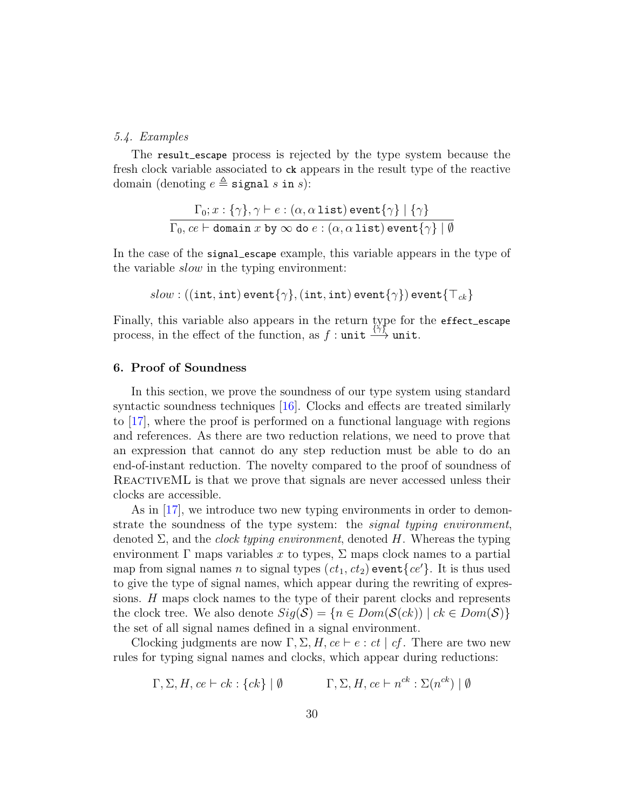#### 5.4. Examples

The result\_escape process is rejected by the type system because the fresh clock variable associated to ck appears in the result type of the reactive domain (denoting  $e \triangleq$  signal s in s):

$$
\frac{\Gamma_0; x : \{\gamma\}, \gamma \vdash e : (\alpha, \alpha \text{ list}) \text{ event}\{\gamma\} \mid \{\gamma\}}{\Gamma_0, ce \vdash \text{domain } x \text{ by } \infty \text{ do } e : (\alpha, \alpha \text{ list}) \text{ event}\{\gamma\} \mid \emptyset}
$$

In the case of the signal\_escape example, this variable appears in the type of the variable slow in the typing environment:

$$
slow:((\texttt{int},\texttt{int})\,\mathsf{event}\{\gamma\},(\texttt{int},\texttt{int})\,\mathsf{event}\{\gamma\})\,\mathsf{event}\{\top_{ck}\}
$$

Finally, this variable also appears in the return type for the effect\_escape process, in the effect of the function, as  $f : \text{unit} \xrightarrow{\{\gamma\}} \text{unit}$ .

#### <span id="page-29-0"></span>6. Proof of Soundness

In this section, we prove the soundness of our type system using standard syntactic soundness techniques [\[16\]](#page-42-11). Clocks and effects are treated similarly to [\[17\]](#page-43-0), where the proof is performed on a functional language with regions and references. As there are two reduction relations, we need to prove that an expression that cannot do any step reduction must be able to do an end-of-instant reduction. The novelty compared to the proof of soundness of REACTIVEML is that we prove that signals are never accessed unless their clocks are accessible.

As in [\[17\]](#page-43-0), we introduce two new typing environments in order to demonstrate the soundness of the type system: the *signal typing environment*, denoted  $\Sigma$ , and the *clock typing environment*, denoted H. Whereas the typing environment  $\Gamma$  maps variables x to types,  $\Sigma$  maps clock names to a partial map from signal names n to signal types  $(ct_1, ct_2)$  event  $\{ce\}$ . It is thus used to give the type of signal names, which appear during the rewriting of expressions. H maps clock names to the type of their parent clocks and represents the clock tree. We also denote  $Sig(\mathcal{S}) = \{n \in Dom(\mathcal{S}(ck)) \mid ck \in Dom(\mathcal{S})\}\$ the set of all signal names defined in a signal environment.

Clocking judgments are now  $\Gamma$ ,  $\Sigma$ ,  $H$ ,  $ce \vdash e : ct \mid cf$ . There are two new rules for typing signal names and clocks, which appear during reductions:

$$
\Gamma, \Sigma, H, ce \vdash ck : \{ck\} \mid \emptyset
$$
  $\Gamma, \Sigma, H, ce \vdash n^{ck} : \Sigma(n^{ck}) \mid \emptyset$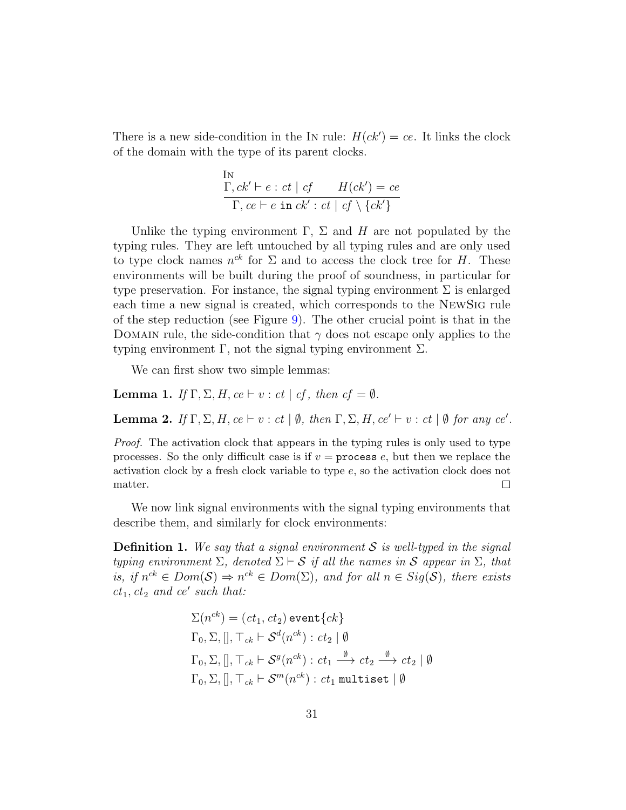There is a new side-condition in the IN rule:  $H(ck') = ce$ . It links the clock of the domain with the type of its parent clocks.

In  
\n
$$
\frac{\Gamma, ck' \vdash e : ct \mid cf \qquad H(ck') = ce}{\Gamma, ce \vdash e \text{ in } ck' : ct \mid cf \setminus \{ck'\}}
$$

Unlike the typing environment  $\Gamma$ ,  $\Sigma$  and H are not populated by the typing rules. They are left untouched by all typing rules and are only used to type clock names  $n^{ck}$  for  $\Sigma$  and to access the clock tree for H. These environments will be built during the proof of soundness, in particular for type preservation. For instance, the signal typing environment  $\Sigma$  is enlarged each time a new signal is created, which corresponds to the NewSig rule of the step reduction (see Figure [9\)](#page-21-0). The other crucial point is that in the DOMAIN rule, the side-condition that  $\gamma$  does not escape only applies to the typing environment  $\Gamma$ , not the signal typing environment  $\Sigma$ .

We can first show two simple lemmas:

<span id="page-30-1"></span>**Lemma 1.** If  $\Gamma$ ,  $\Sigma$ , H,  $ce \vdash v : ct \mid cf$ , then  $cf = \emptyset$ .

<span id="page-30-0"></span>**Lemma 2.** If  $\Gamma$ ,  $\Sigma$ ,  $H$ ,  $ce \vdash v : ct \mid \emptyset$ , then  $\Gamma$ ,  $\Sigma$ ,  $H$ ,  $ce' \vdash v : ct \mid \emptyset$  for any  $ce'$ .

Proof. The activation clock that appears in the typing rules is only used to type processes. So the only difficult case is if  $v =$  process  $e$ , but then we replace the activation clock by a fresh clock variable to type e, so the activation clock does not matter.  $\Box$ 

We now link signal environments with the signal typing environments that describe them, and similarly for clock environments:

**Definition 1.** We say that a signal environment S is well-typed in the signal typing environment  $\Sigma$ , denoted  $\Sigma \vdash S$  if all the names in S appear in  $\Sigma$ , that is, if  $n^{ck} \in Dom(S) \Rightarrow n^{ck} \in Dom(\Sigma)$ , and for all  $n \in Sig(S)$ , there exists  $ct_1, ct_2$  and  $ce'$  such that:

$$
\Sigma(n^{ck}) = (ct_1, ct_2) \text{ event } \{ck\}
$$
  
\n
$$
\Gamma_0, \Sigma,[], \top_{ck} \vdash \mathcal{S}^d(n^{ck}) : ct_2 \mid \emptyset
$$
  
\n
$$
\Gamma_0, \Sigma,[], \top_{ck} \vdash \mathcal{S}^g(n^{ck}) : ct_1 \xrightarrow{\emptyset} ct_2 \xrightarrow{\emptyset} ct_2 \mid \emptyset
$$
  
\n
$$
\Gamma_0, \Sigma,[], \top_{ck} \vdash \mathcal{S}^m(n^{ck}) : ct_1 \text{ multiset } | \emptyset
$$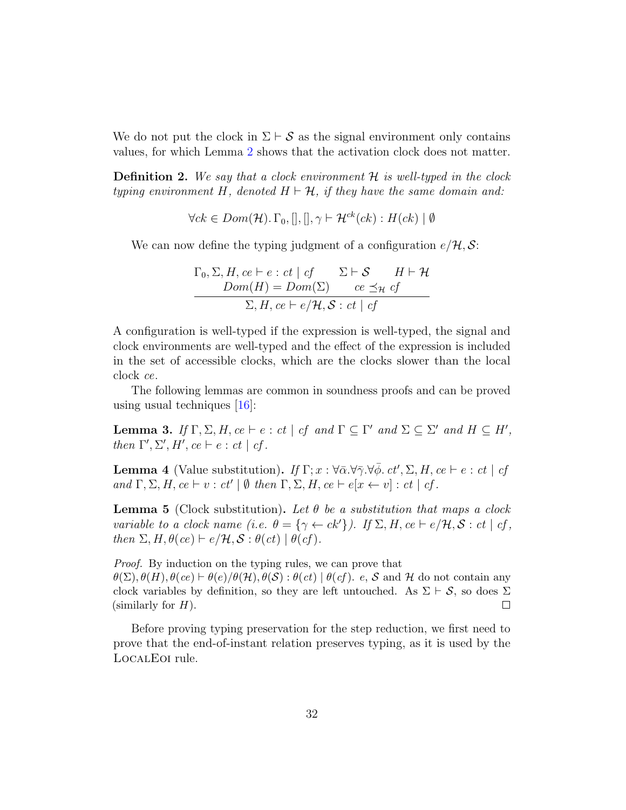We do not put the clock in  $\Sigma \vdash S$  as the signal environment only contains values, for which Lemma [2](#page-30-0) shows that the activation clock does not matter.

**Definition 2.** We say that a clock environment  $\mathcal{H}$  is well-typed in the clock typing environment H, denoted  $H \vdash \mathcal{H}$ , if they have the same domain and:

$$
\forall ck \in Dom(\mathcal{H}).\Gamma_0,[],[], \gamma \vdash \mathcal{H}^{ck}(ck) : H(ck) | \emptyset
$$

We can now define the typing judgment of a configuration  $e/\mathcal{H}, \mathcal{S}$ :

$$
\Gamma_0, \Sigma, H, ce \vdash e : ct \mid cf \qquad \Sigma \vdash \mathcal{S} \qquad H \vdash \mathcal{H}
$$
  
Dom(H) = Dom(\Sigma) \qquad ce \preceq\_{\mathcal{H}} cf  
\n\sum, H, ce \vdash e/\mathcal{H}, \mathcal{S} : ct \mid cf

A configuration is well-typed if the expression is well-typed, the signal and clock environments are well-typed and the effect of the expression is included in the set of accessible clocks, which are the clocks slower than the local clock ce.

The following lemmas are common in soundness proofs and can be proved using usual techniques [\[16\]](#page-42-11):

<span id="page-31-1"></span>Lemma 3. If  $\Gamma, \Sigma, H, ce \vdash e : ct \mid cf \text{ and } \Gamma \subseteq \Gamma' \text{ and } \Sigma \subseteq \Sigma' \text{ and } H \subseteq H',$ then  $\Gamma', \Sigma', H', ce \vdash e : ct \mid cf.$ 

<span id="page-31-2"></span>**Lemma 4** (Value substitution). If  $\Gamma; x : \forall \bar{\alpha} . \forall \bar{\gamma} . \forall \bar{\phi} . ct', \Sigma, H, ce \vdash e : ct \mid ct$ and  $\Gamma$ ,  $\Sigma$ ,  $H$ ,  $ce \vdash v : ct' \mid \emptyset$  then  $\Gamma$ ,  $\Sigma$ ,  $H$ ,  $ce \vdash e[x \leftarrow v] : ct \mid cf$ .

<span id="page-31-0"></span>**Lemma 5** (Clock substitution). Let  $\theta$  be a substitution that maps a clock variable to a clock name (i.e.  $\theta = {\gamma \leftarrow ck'}$ ). If  $\Sigma, H, ce \vdash e/\mathcal{H}, \mathcal{S}: ct \mid cf$ , then  $\Sigma, H, \theta(ce) \vdash e/\mathcal{H}, \mathcal{S} : \theta(ct) \mid \theta(cf)$ .

Proof. By induction on the typing rules, we can prove that  $\theta(\Sigma), \theta(H), \theta(e) \vdash \theta(e)/\theta(\mathcal{H}), \theta(\mathcal{S}) : \theta(ct) \mid \theta(cf)$ . e, S and H do not contain any clock variables by definition, so they are left untouched. As  $\Sigma \vdash S$ , so does  $\Sigma$  (similarly for *H*). (similarly for  $H$ ).

Before proving typing preservation for the step reduction, we first need to prove that the end-of-instant relation preserves typing, as it is used by the LocalEoi rule.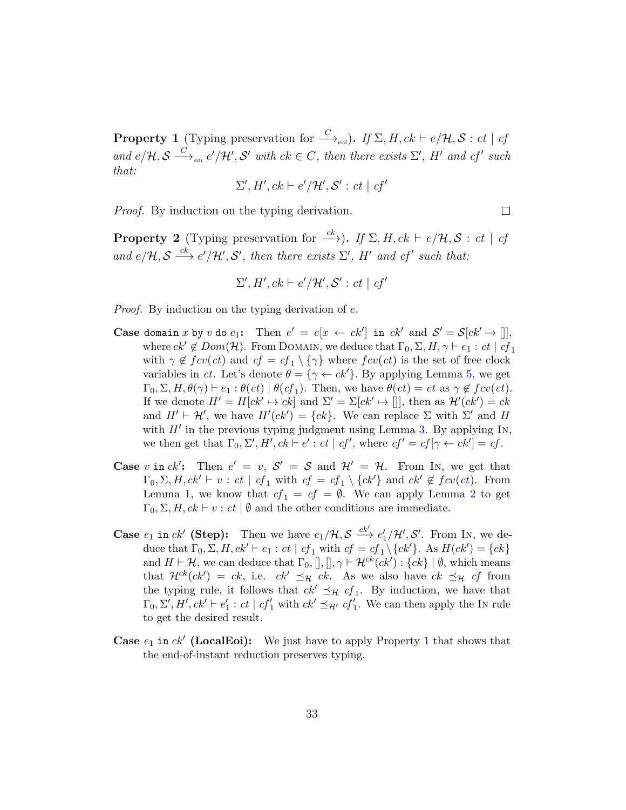<span id="page-32-0"></span>**Property 1** (Typing preservation for  $\stackrel{C}{\longrightarrow}_{\text{eoi}}$ ). If  $\Sigma$ , H, ck  $\vdash e/\mathcal{H}, \mathcal{S}: ct \mid ct$ and  $e/\mathcal{H}, \mathcal{S} \stackrel{C}{\longrightarrow}_{\text{eoi}} e'/\mathcal{H}', \mathcal{S}'$  with  $ck \in C$ , then there exists  $\Sigma', H'$  and  $cf'$  such that:

$$
\Sigma', H', ck \vdash e'/\mathcal{H}', \mathcal{S}' : ct \mid cf'
$$

 $\Box$ 

Proof. By induction on the typing derivation.

<span id="page-32-1"></span>**Property 2** (Typing preservation for  $\xrightarrow{ck}$ ). If  $\Sigma$ , H,  $ck \vdash e/\mathcal{H}, \mathcal{S} : ct \mid ct$ and  $e/\mathcal{H}, \mathcal{S} \stackrel{ck}{\longrightarrow} e'/\mathcal{H}', \mathcal{S}'$ , then there exists  $\Sigma', H'$  and cf' such that:

$$
\Sigma', H', ck \vdash e' / \mathcal{H'}, \mathcal{S'} : ct \mid cf'
$$

Proof. By induction on the typing derivation of e.

- Case domain x by v do  $e_1$ : Then  $e' = e[x \leftarrow ck']$  in  $ck'$  and  $S' = S[ck' \mapsto []]$ , where  $ck' \notin Dom(\mathcal{H})$ . From DOMAIN, we deduce that  $\Gamma_0, \Sigma, H, \gamma \vdash e_1 : ct \mid cf_1$ with  $\gamma \notin fcv(ct)$  and  $cf = cf_1 \setminus {\gamma}$  where  $fcv(ct)$  is the set of free clock variables in ct. Let's denote  $\theta = {\gamma \leftarrow ck'}$ . By applying Lemma [5,](#page-31-0) we get  $\Gamma_0, \Sigma, H, \theta(\gamma) \vdash e_1 : \theta(ct) \mid \theta(cf_1)$ . Then, we have  $\theta(ct) = ct$  as  $\gamma \notin fcv(ct)$ . If we denote  $H' = H[ck' \mapsto ck]$  and  $\Sigma' = \Sigma[ck' \mapsto []]$ , then as  $\mathcal{H}'(ck') = ck$ and  $H' \vdash \mathcal{H}'$ , we have  $H'(ck') = \{ck\}$ . We can replace  $\Sigma$  with  $\Sigma'$  and  $H$ with  $H'$  in the previous typing judgment using Lemma [3.](#page-31-1) By applying In, we then get that  $\Gamma_0, \Sigma', H', ck \vdash e' : ct \mid cf'$ , where  $cf' = cf[\gamma \leftarrow ck'] = cf$ .
- Case v in ck': Then  $e' = v$ ,  $S' = S$  and  $\mathcal{H}' = \mathcal{H}$ . From In, we get that  $\Gamma_0, \Sigma, H, ck' \vdash v : ct \mid cf_1 \text{ with } cf = cf_1 \setminus \{ck'\} \text{ and } ck' \notin fcv(ct).$  From Lemma [1,](#page-30-1) we know that  $cf_1 = cf = \emptyset$ . We can apply Lemma [2](#page-30-0) to get  $\Gamma_0$ ,  $\Sigma$ ,  $H$ ,  $ck \vdash v : ct \mid \emptyset$  and the other conditions are immediate.
- **Case**  $e_1$  in  $ck'$  (**Step):** Then we have  $e_1/\mathcal{H}, \mathcal{S} \xrightarrow{ck'} e'_1/\mathcal{H}', \mathcal{S}'$ . From In, we deduce that  $\Gamma_0, \Sigma, H, ck' \vdash e_1 : ct \mid cf_1 \text{ with } cf = cf_1 \setminus \{ck'\}.$  As  $H(ck') = \{ck\}$ and  $H \vdash \mathcal{H}$ , we can deduce that  $\Gamma_0$ ,  $[]$ ,  $[]$ ,  $\gamma \vdash \mathcal{H}^{ck}(ck') : \{ck\} \mid \emptyset$ , which means that  $\mathcal{H}^{ck}(ck') = ck$ , i.e.  $ck' \preceq_{\mathcal{H}} ck$ . As we also have  $ck \preceq_{\mathcal{H}} cf$  from the typing rule, it follows that  $ck' \preceq_{\mathcal{H}} cf_1$ . By induction, we have that  $\Gamma_0, \Sigma', H', ck' \vdash e'_1 : ct \mid cf'_1 \text{ with } ck' \preceq_{\mathcal{H}'} cf'_1.$  We can then apply the IN rule to get the desired result.
- **Case**  $e_1$  $e_1$  in  $ck'$  (LocalEoi): We just have to apply Property 1 that shows that the end-of-instant reduction preserves typing.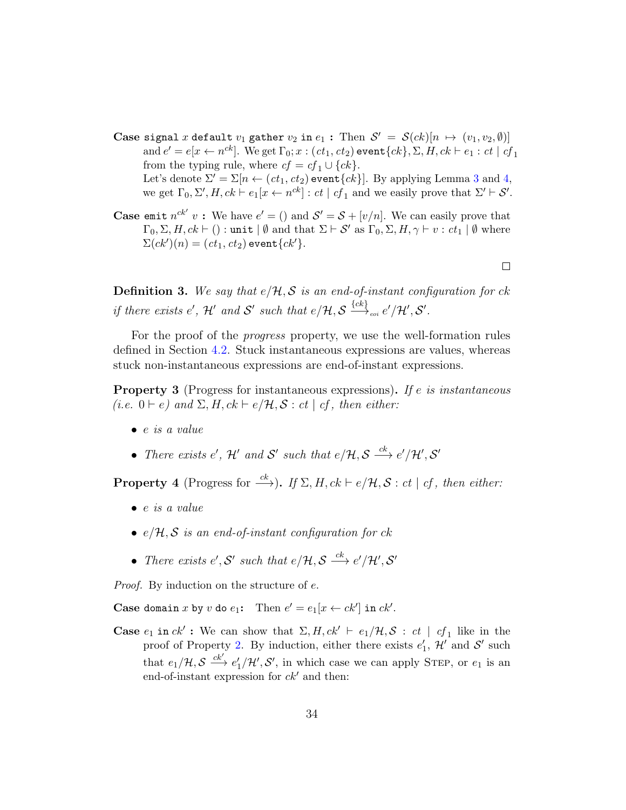- Case signal x default  $v_1$  gather  $v_2$  in  $e_1$ : Then  $\mathcal{S}' = \mathcal{S}(ck)[n \mapsto (v_1, v_2, \emptyset)]$ and  $e' = e[x \leftarrow n^{ck}]$ . We get  $\Gamma_0; x : (ct_1, ct_2)$  event  $\{ck\}, \Sigma, H, ck \vdash e_1 : ct \mid cf_1$ from the typing rule, where  $cf = cf_1 \cup \{ck\}.$ Let's denote  $\Sigma' = \Sigma[n \leftarrow (ct_1, ct_2)$  event $\{ck\}$ . By applying Lemma [3](#page-31-1) and [4,](#page-31-2) we get  $\Gamma_0, \Sigma', H, ck \vdash e_1[x \leftarrow n^{ck}] : ct \mid cf_1$  and we easily prove that  $\Sigma' \vdash \mathcal{S}'$ .
- **Case emit**  $n^{ck'} v$ : We have  $e' = ()$  and  $S' = S + [v/n]$ . We can easily prove that  $\Gamma_0, \Sigma, H, ck \vdash () : \text{unit} \mid \emptyset \text{ and that } \Sigma \vdash \mathcal{S}' \text{ as } \Gamma_0, \Sigma, H, \gamma \vdash v : ct_1 \mid \emptyset \text{ where }$  $\Sigma(ck')(n) = (ct_1, ct_2)$  event $\{ck'\}.$

 $\Box$ 

**Definition 3.** We say that  $e/\mathcal{H}, \mathcal{S}$  is an end-of-instant configuration for ck if there exists e', H' and S' such that  $e/\mathcal{H}, \mathcal{S} \stackrel{\{ck\}}{\longrightarrow}_{\scriptscriptstyle eoi} e'/\mathcal{H}', \mathcal{S}'.$ 

For the proof of the *progress* property, we use the well-formation rules defined in Section [4.2.](#page-17-1) Stuck instantaneous expressions are values, whereas stuck non-instantaneous expressions are end-of-instant expressions.

<span id="page-33-0"></span>**Property 3** (Progress for instantaneous expressions). If e is instantaneous (i.e.  $0 \vdash e$ ) and  $\Sigma, H, ck \vdash e/\mathcal{H}, \mathcal{S} : ct \mid cf$ , then either:

- $\bullet$  e is a value
- There exists e', H' and S' such that  $e/\mathcal{H}, \mathcal{S} \stackrel{ck}{\longrightarrow} e'/\mathcal{H}', \mathcal{S}'$

**Property 4** (Progress for  $\xrightarrow{ck}$ ). If  $\Sigma$ , H,  $ck \vdash e/\mathcal{H}, \mathcal{S} : ct \mid cf$ , then either:

- $\bullet$  e is a value
- $e/H$ , S is an end-of-instant configuration for ck
- There exists  $e', S'$  such that  $e/\mathcal{H}, S \stackrel{ck}{\longrightarrow} e'/\mathcal{H}', S'$

Proof. By induction on the structure of e.

Case domain x by v do  $e_1$ : Then  $e' = e_1[x \leftarrow ck']$  in  $ck'.$ 

**Case**  $e_1$  in  $ck'$ : We can show that  $\Sigma, H, ck' \vdash e_1/\mathcal{H}, \mathcal{S}$ :  $ct \mid cf_1$  like in the proof of Property [2.](#page-32-1) By induction, either there exists  $e'_1$ ,  $\mathcal{H}'$  and  $\mathcal{S}'$  such that  $e_1/\mathcal{H}, \mathcal{S} \stackrel{ck'}{\longrightarrow} e'_1/\mathcal{H}', \mathcal{S}'$ , in which case we can apply STEP, or  $e_1$  is an end-of-instant expression for  $ck'$  and then: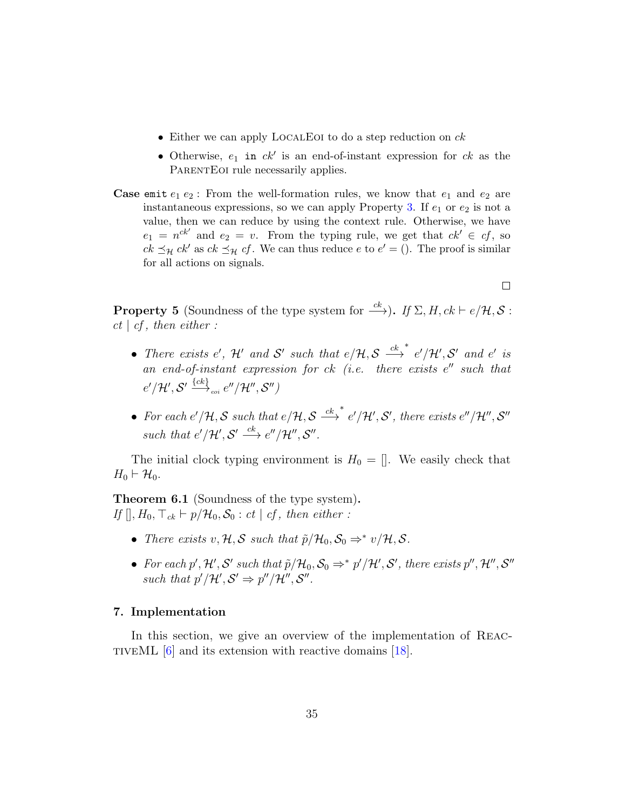- Either we can apply LOCALEOI to do a step reduction on  $ck$
- Otherwise,  $e_1$  in  $ck'$  is an end-of-instant expression for  $ck$  as the PARENTEOI rule necessarily applies.
- **Case emit**  $e_1 e_2$ : From the well-formation rules, we know that  $e_1$  and  $e_2$  are instantaneous expressions, so we can apply Property [3.](#page-33-0) If  $e_1$  or  $e_2$  is not a value, then we can reduce by using the context rule. Otherwise, we have  $e_1 = n^{ck'}$  and  $e_2 = v$ . From the typing rule, we get that  $ck' \in cf$ , so  $ck \preceq_{\mathcal{H}} ck'$  as  $ck \preceq_{\mathcal{H}} cf$ . We can thus reduce  $e$  to  $e' = ()$ . The proof is similar for all actions on signals.

 $\Box$ 

**Property 5** (Soundness of the type system for  $\xrightarrow{ck}$ ). If  $\Sigma$ , H,  $ck \vdash e/\mathcal{H}, \mathcal{S}$ :  $ct \, | \, cf, \, then \, either:$ 

- There exists e',  $\mathcal{H}'$  and  $\mathcal{S}'$  such that  $e/\mathcal{H}, \mathcal{S} \stackrel{ck}{\longrightarrow}$ \*  $e'/\mathcal{H}', S'$  and  $e'$  is an end-of-instant expression for  $ck$  (i.e. there exists  $e''$  such that  $e^{\prime}/\mathcal{H}^{\prime}, \mathcal{S}^{\prime} \stackrel{\{\mathit{ck}\}}{\longrightarrow}_{\scriptscriptstyle eoi} e^{\prime\prime}/\mathcal{H}^{\prime\prime}, \mathcal{S}^{\prime\prime})$
- For each  $e'/\mathcal{H}, \mathcal{S}$  such that  $e/\mathcal{H}, \mathcal{S} \stackrel{ck}{\longrightarrow}$  $^*$  e'/H', S', there exists e"/H", S" such that  $e'/\mathcal{H}', \mathcal{S}' \stackrel{ck}{\longrightarrow} e''/\mathcal{H}'', \mathcal{S}''$ .

The initial clock typing environment is  $H_0 = []$ . We easily check that  $H_0 \vdash \mathcal{H}_0.$ 

Theorem 6.1 (Soundness of the type system). If  $[ \cdot, H_0, \top_{ck} \vdash p/\mathcal{H}_0, \mathcal{S}_0 : ct \mid cf, then \text{ either } :$ 

- There exists  $v, \mathcal{H}, \mathcal{S}$  such that  $\tilde{p}/\mathcal{H}_0, \mathcal{S}_0 \Rightarrow^* v/\mathcal{H}, \mathcal{S}.$
- For each p', H', S' such that  $\tilde{p}/\mathcal{H}_0$ ,  $\mathcal{S}_0 \Rightarrow^* p'/\mathcal{H}'$ , S', there exists  $p''$ ,  $\mathcal{H}''$ ,  $\mathcal{S}''$ such that  $p'/\mathcal{H}', \mathcal{S}' \Rightarrow p''/\mathcal{H}'', \mathcal{S}''$ .

#### <span id="page-34-0"></span>7. Implementation

In this section, we give an overview of the implementation of REAC-TIVEML  $[6]$  and its extension with reactive domains  $[18]$ .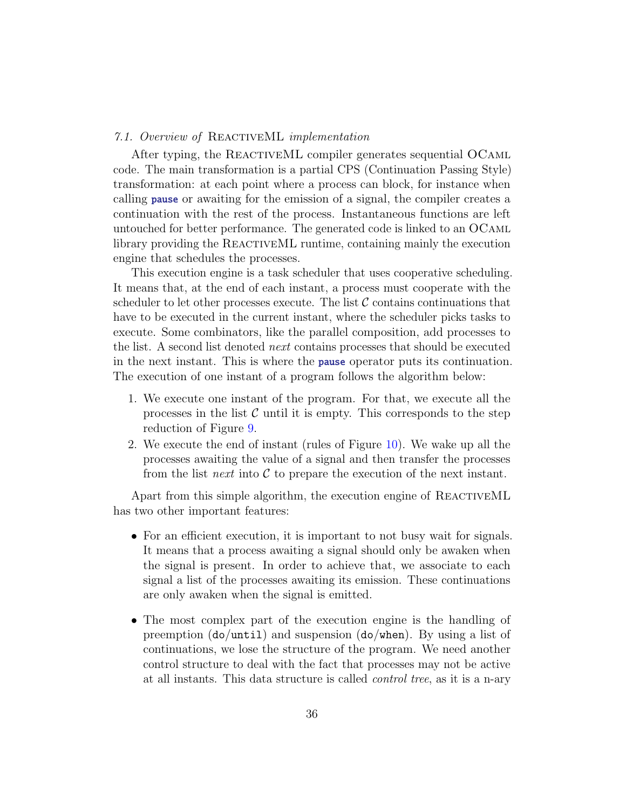#### 7.1. Overview of ReactiveML implementation

After typing, the REACTIVEML compiler generates sequential OCAML code. The main transformation is a partial CPS (Continuation Passing Style) transformation: at each point where a process can block, for instance when calling pause or awaiting for the emission of a signal, the compiler creates a continuation with the rest of the process. Instantaneous functions are left untouched for better performance. The generated code is linked to an OCaml library providing the REACTIVEML runtime, containing mainly the execution engine that schedules the processes.

This execution engine is a task scheduler that uses cooperative scheduling. It means that, at the end of each instant, a process must cooperate with the scheduler to let other processes execute. The list  $\mathcal C$  contains continuations that have to be executed in the current instant, where the scheduler picks tasks to execute. Some combinators, like the parallel composition, add processes to the list. A second list denoted next contains processes that should be executed in the next instant. This is where the pause operator puts its continuation. The execution of one instant of a program follows the algorithm below:

- 1. We execute one instant of the program. For that, we execute all the processes in the list  $\mathcal C$  until it is empty. This corresponds to the step reduction of Figure [9.](#page-21-0)
- 2. We execute the end of instant (rules of Figure [10\)](#page-23-0). We wake up all the processes awaiting the value of a signal and then transfer the processes from the list next into  $\mathcal C$  to prepare the execution of the next instant.

Apart from this simple algorithm, the execution engine of REACTIVEML has two other important features:

- For an efficient execution, it is important to not busy wait for signals. It means that a process awaiting a signal should only be awaken when the signal is present. In order to achieve that, we associate to each signal a list of the processes awaiting its emission. These continuations are only awaken when the signal is emitted.
- The most complex part of the execution engine is the handling of preemption (do/until) and suspension (do/when). By using a list of continuations, we lose the structure of the program. We need another control structure to deal with the fact that processes may not be active at all instants. This data structure is called control tree, as it is a n-ary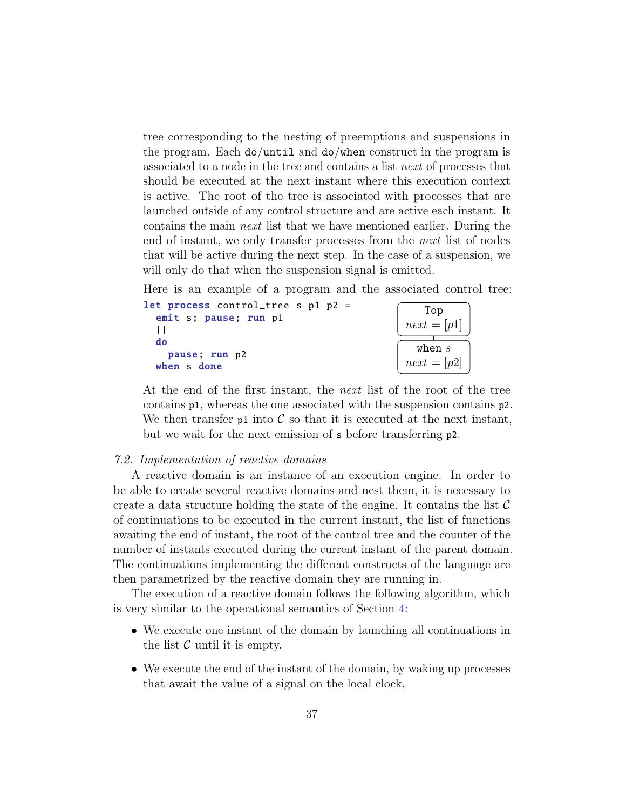tree corresponding to the nesting of preemptions and suspensions in the program. Each do/until and do/when construct in the program is associated to a node in the tree and contains a list next of processes that should be executed at the next instant where this execution context is active. The root of the tree is associated with processes that are launched outside of any control structure and are active each instant. It contains the main next list that we have mentioned earlier. During the end of instant, we only transfer processes from the next list of nodes that will be active during the next step. In the case of a suspension, we will only do that when the suspension signal is emitted.

Here is an example of a program and the associated control tree:

| let process control_tree s p1 p2 = | Top                       |
|------------------------------------|---------------------------|
| emit s; pause; run p1              | $next = [p1]$             |
| do<br>pause; run p2<br>when s done | when $s$<br>$next = [p2]$ |

At the end of the first instant, the *next* list of the root of the tree contains p1, whereas the one associated with the suspension contains p2. We then transfer  $p1$  into C so that it is executed at the next instant, but we wait for the next emission of s before transferring p2.

#### 7.2. Implementation of reactive domains

A reactive domain is an instance of an execution engine. In order to be able to create several reactive domains and nest them, it is necessary to create a data structure holding the state of the engine. It contains the list  $\mathcal C$ of continuations to be executed in the current instant, the list of functions awaiting the end of instant, the root of the control tree and the counter of the number of instants executed during the current instant of the parent domain. The continuations implementing the different constructs of the language are then parametrized by the reactive domain they are running in.

The execution of a reactive domain follows the following algorithm, which is very similar to the operational semantics of Section [4:](#page-15-0)

- We execute one instant of the domain by launching all continuations in the list  $\mathcal C$  until it is empty.
- We execute the end of the instant of the domain, by waking up processes that await the value of a signal on the local clock.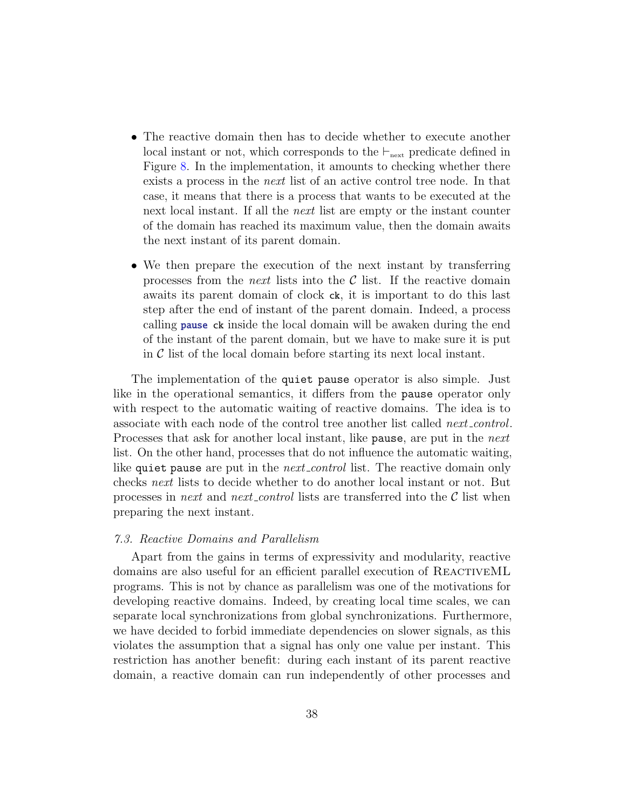- The reactive domain then has to decide whether to execute another local instant or not, which corresponds to the  $\vdash_{\text{next}}$  predicate defined in Figure [8.](#page-20-0) In the implementation, it amounts to checking whether there exists a process in the next list of an active control tree node. In that case, it means that there is a process that wants to be executed at the next local instant. If all the next list are empty or the instant counter of the domain has reached its maximum value, then the domain awaits the next instant of its parent domain.
- We then prepare the execution of the next instant by transferring processes from the *next* lists into the  $\mathcal C$  list. If the reactive domain awaits its parent domain of clock ck, it is important to do this last step after the end of instant of the parent domain. Indeed, a process calling **pause** ck inside the local domain will be awaken during the end of the instant of the parent domain, but we have to make sure it is put in  $\mathcal C$  list of the local domain before starting its next local instant.

The implementation of the quiet pause operator is also simple. Just like in the operational semantics, it differs from the pause operator only with respect to the automatic waiting of reactive domains. The idea is to associate with each node of the control tree another list called next control. Processes that ask for another local instant, like pause, are put in the *next* list. On the other hand, processes that do not influence the automatic waiting, like quiet pause are put in the *next control* list. The reactive domain only checks next lists to decide whether to do another local instant or not. But processes in *next* and *next* control lists are transferred into the  $\mathcal{C}$  list when preparing the next instant.

#### <span id="page-37-0"></span>7.3. Reactive Domains and Parallelism

Apart from the gains in terms of expressivity and modularity, reactive domains are also useful for an efficient parallel execution of REACTIVEML programs. This is not by chance as parallelism was one of the motivations for developing reactive domains. Indeed, by creating local time scales, we can separate local synchronizations from global synchronizations. Furthermore, we have decided to forbid immediate dependencies on slower signals, as this violates the assumption that a signal has only one value per instant. This restriction has another benefit: during each instant of its parent reactive domain, a reactive domain can run independently of other processes and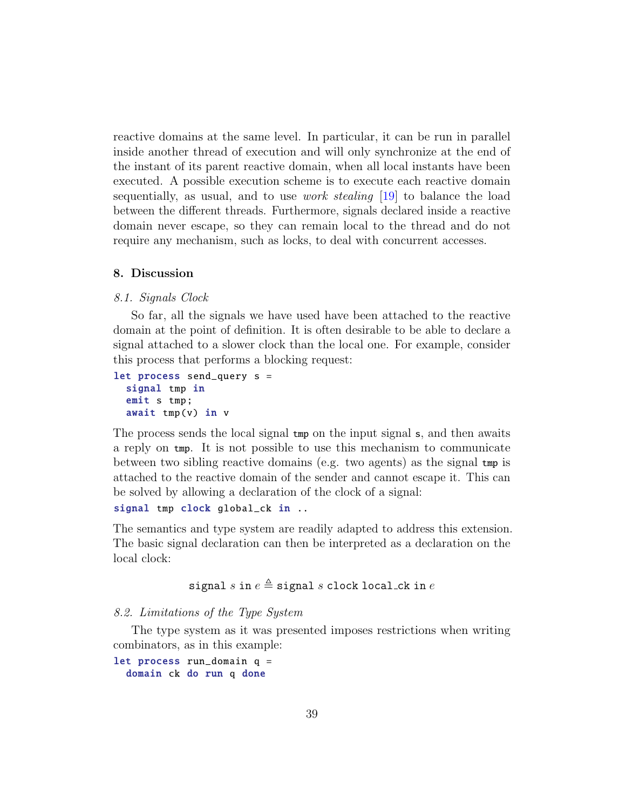reactive domains at the same level. In particular, it can be run in parallel inside another thread of execution and will only synchronize at the end of the instant of its parent reactive domain, when all local instants have been executed. A possible execution scheme is to execute each reactive domain sequentially, as usual, and to use work stealing [\[19\]](#page-43-2) to balance the load between the different threads. Furthermore, signals declared inside a reactive domain never escape, so they can remain local to the thread and do not require any mechanism, such as locks, to deal with concurrent accesses.

#### <span id="page-38-0"></span>8. Discussion

#### 8.1. Signals Clock

So far, all the signals we have used have been attached to the reactive domain at the point of definition. It is often desirable to be able to declare a signal attached to a slower clock than the local one. For example, consider this process that performs a blocking request:

```
let process send_query s =
  signal tmp in
  emit s tmp;
  await tmp(v) in v
```
The process sends the local signal tmp on the input signal s, and then awaits a reply on tmp. It is not possible to use this mechanism to communicate between two sibling reactive domains (e.g. two agents) as the signal tmp is attached to the reactive domain of the sender and cannot escape it. This can be solved by allowing a declaration of the clock of a signal:

```
signal tmp clock global_ck in ..
```
The semantics and type system are readily adapted to address this extension. The basic signal declaration can then be interpreted as a declaration on the local clock:

# signal s in  $e \triangleq$  signal s clock local ck in  $e$

#### 8.2. Limitations of the Type System

The type system as it was presented imposes restrictions when writing combinators, as in this example:

let process run\_domain q = domain ck do run q done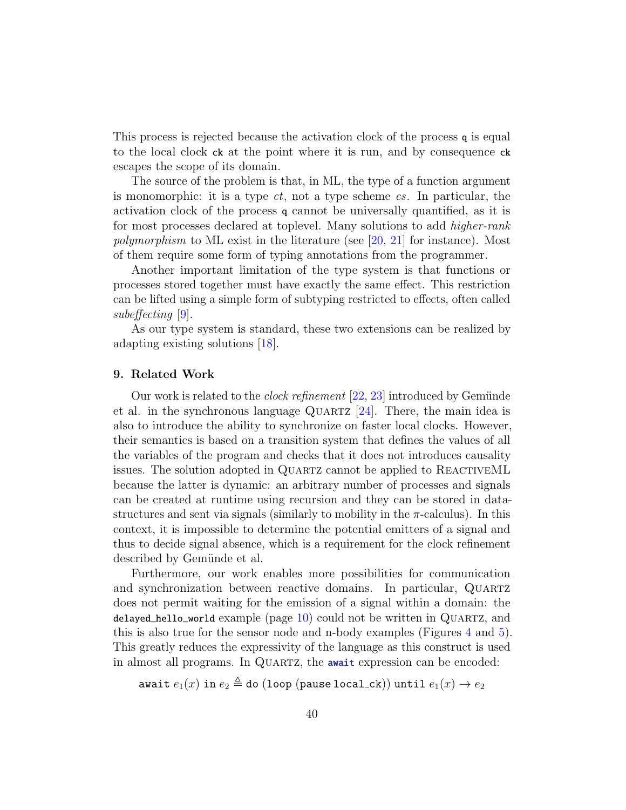This process is rejected because the activation clock of the process q is equal to the local clock ck at the point where it is run, and by consequence ck escapes the scope of its domain.

The source of the problem is that, in ML, the type of a function argument is monomorphic: it is a type  $ct$ , not a type scheme  $cs$ . In particular, the activation clock of the process q cannot be universally quantified, as it is for most processes declared at toplevel. Many solutions to add higher-rank polymorphism to ML exist in the literature (see [\[20,](#page-43-3) [21\]](#page-43-4) for instance). Most of them require some form of typing annotations from the programmer.

Another important limitation of the type system is that functions or processes stored together must have exactly the same effect. This restriction can be lifted using a simple form of subtyping restricted to effects, often called subeffecting [\[9\]](#page-42-4).

As our type system is standard, these two extensions can be realized by adapting existing solutions [\[18\]](#page-43-1).

#### <span id="page-39-0"></span>9. Related Work

Our work is related to the *clock refinement*  $[22, 23]$  $[22, 23]$  $[22, 23]$  introduced by Gemünde et al. in the synchronous language QUARTZ  $[24]$ . There, the main idea is also to introduce the ability to synchronize on faster local clocks. However, their semantics is based on a transition system that defines the values of all the variables of the program and checks that it does not introduces causality issues. The solution adopted in QUARTZ cannot be applied to REACTIVEML because the latter is dynamic: an arbitrary number of processes and signals can be created at runtime using recursion and they can be stored in datastructures and sent via signals (similarly to mobility in the  $\pi$ -calculus). In this context, it is impossible to determine the potential emitters of a signal and thus to decide signal absence, which is a requirement for the clock refinement described by Gemünde et al.

Furthermore, our work enables more possibilities for communication and synchronization between reactive domains. In particular, QUARTZ does not permit waiting for the emission of a signal within a domain: the delayed\_hello\_world example (page  $10$ ) could not be written in QUARTZ, and this is also true for the sensor node and n-body examples (Figures [4](#page-12-0) and [5\)](#page-13-0). This greatly reduces the expressivity of the language as this construct is used in almost all programs. In QUARTZ, the **await** expression can be encoded:

await  $e_1(x)$  in  $e_2 \triangleq$  do (loop (pause local\_ck)) until  $e_1(x) \rightarrow e_2$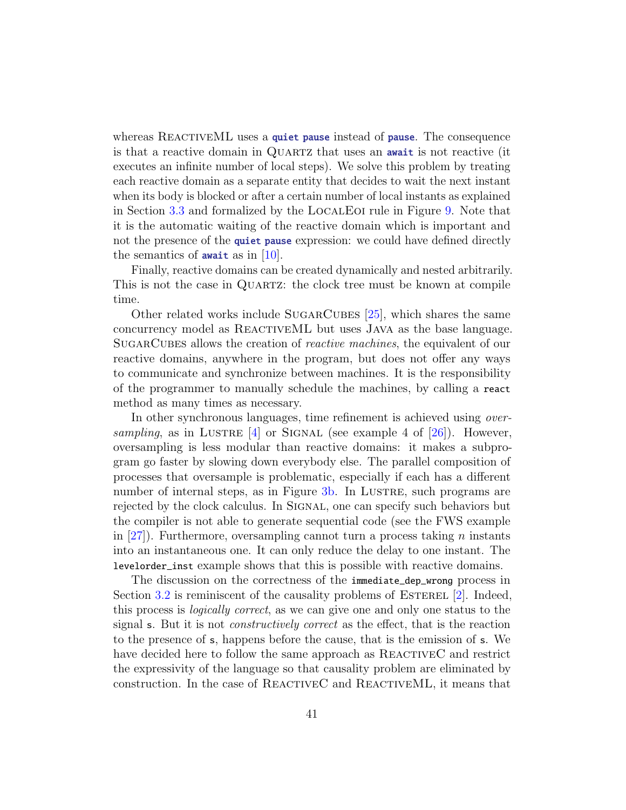whereas REACTIVEML uses a quiet pause instead of pause. The consequence is that a reactive domain in QUARTZ that uses an **await** is not reactive (it executes an infinite number of local steps). We solve this problem by treating each reactive domain as a separate entity that decides to wait the next instant when its body is blocked or after a certain number of local instants as explained in Section [3.3](#page-9-0) and formalized by the LocalEoi rule in Figure [9.](#page-21-0) Note that it is the automatic waiting of the reactive domain which is important and not the presence of the quiet pause expression: we could have defined directly the semantics of **await** as in  $[10]$ .

Finally, reactive domains can be created dynamically and nested arbitrarily. This is not the case in QUARTZ: the clock tree must be known at compile time.

Other related works include SUGARCUBES [\[25\]](#page-43-8), which shares the same concurrency model as ReactiveML but uses Java as the base language. SUGARCUBES allows the creation of *reactive machines*, the equivalent of our reactive domains, anywhere in the program, but does not offer any ways to communicate and synchronize between machines. It is the responsibility of the programmer to manually schedule the machines, by calling a react method as many times as necessary.

In other synchronous languages, time refinement is achieved using *over*sampling, as in LUSTRE  $[4]$  or SIGNAL (see example 4 of  $[26]$ ). However, oversampling is less modular than reactive domains: it makes a subprogram go faster by slowing down everybody else. The parallel composition of processes that oversample is problematic, especially if each has a different number of internal steps, as in Figure [3b.](#page-11-1) In LUSTRE, such programs are rejected by the clock calculus. In SIGNAL, one can specify such behaviors but the compiler is not able to generate sequential code (see the FWS example in  $[27]$ ). Furthermore, oversampling cannot turn a process taking n instants into an instantaneous one. It can only reduce the delay to one instant. The levelorder\_inst example shows that this is possible with reactive domains.

The discussion on the correctness of the immediate\_dep\_wrong process in Section [3.2](#page-7-0) is reminiscent of the causality problems of ESTEREL  $[2]$ . Indeed, this process is logically correct, as we can give one and only one status to the signal s. But it is not constructively correct as the effect, that is the reaction to the presence of s, happens before the cause, that is the emission of s. We have decided here to follow the same approach as REACTIVEC and restrict the expressivity of the language so that causality problem are eliminated by construction. In the case of ReactiveC and ReactiveML, it means that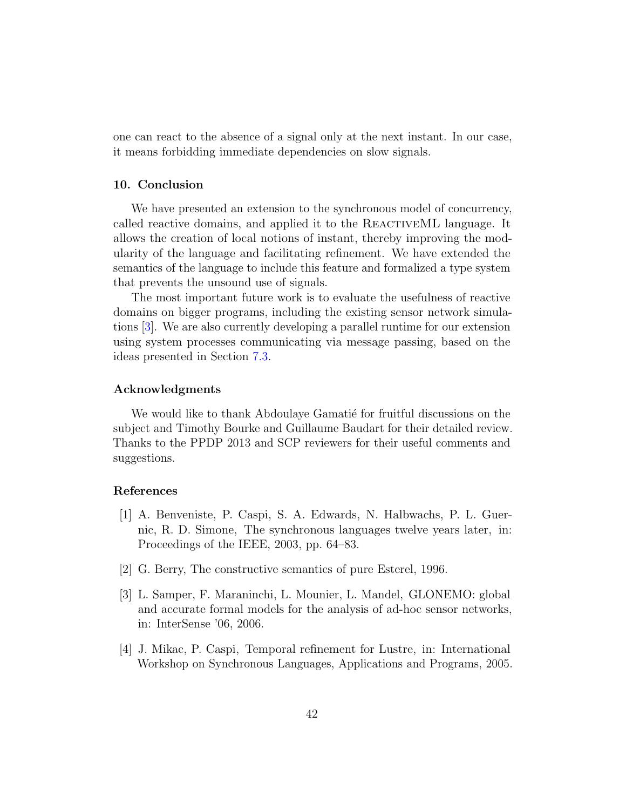one can react to the absence of a signal only at the next instant. In our case, it means forbidding immediate dependencies on slow signals.

# 10. Conclusion

We have presented an extension to the synchronous model of concurrency, called reactive domains, and applied it to the REACTIVEML language. It allows the creation of local notions of instant, thereby improving the modularity of the language and facilitating refinement. We have extended the semantics of the language to include this feature and formalized a type system that prevents the unsound use of signals.

The most important future work is to evaluate the usefulness of reactive domains on bigger programs, including the existing sensor network simulations [\[3\]](#page-41-2). We are also currently developing a parallel runtime for our extension using system processes communicating via message passing, based on the ideas presented in Section [7.3.](#page-37-0)

#### Acknowledgments

We would like to thank Abdoulaye Gamatié for fruitful discussions on the subject and Timothy Bourke and Guillaume Baudart for their detailed review. Thanks to the PPDP 2013 and SCP reviewers for their useful comments and suggestions.

#### References

- <span id="page-41-0"></span>[1] A. Benveniste, P. Caspi, S. A. Edwards, N. Halbwachs, P. L. Guernic, R. D. Simone, The synchronous languages twelve years later, in: Proceedings of the IEEE, 2003, pp. 64–83.
- <span id="page-41-1"></span>[2] G. Berry, The constructive semantics of pure Esterel, 1996.
- <span id="page-41-2"></span>[3] L. Samper, F. Maraninchi, L. Mounier, L. Mandel, GLONEMO: global and accurate formal models for the analysis of ad-hoc sensor networks, in: InterSense '06, 2006.
- <span id="page-41-3"></span>[4] J. Mikac, P. Caspi, Temporal refinement for Lustre, in: International Workshop on Synchronous Languages, Applications and Programs, 2005.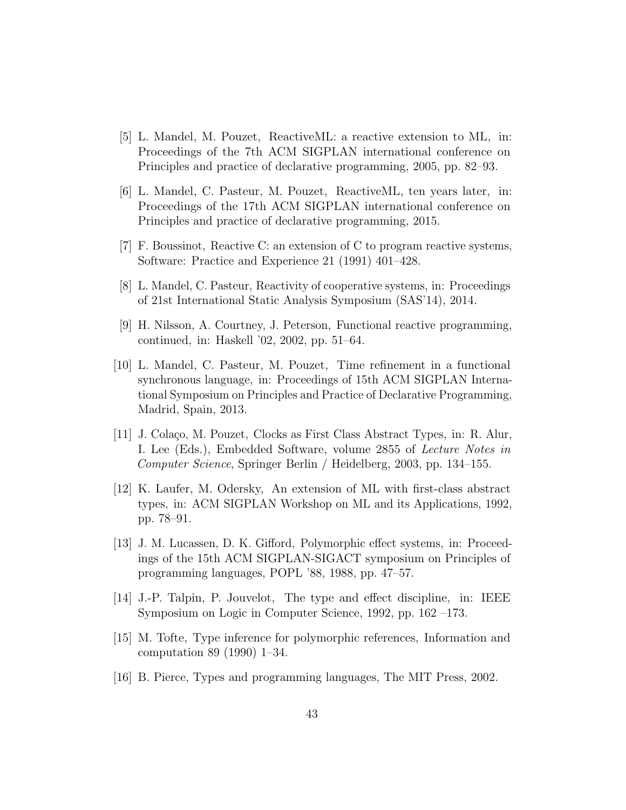- <span id="page-42-0"></span>[5] L. Mandel, M. Pouzet, ReactiveML: a reactive extension to ML, in: Proceedings of the 7th ACM SIGPLAN international conference on Principles and practice of declarative programming, 2005, pp. 82–93.
- <span id="page-42-1"></span>[6] L. Mandel, C. Pasteur, M. Pouzet, ReactiveML, ten years later, in: Proceedings of the 17th ACM SIGPLAN international conference on Principles and practice of declarative programming, 2015.
- <span id="page-42-2"></span>[7] F. Boussinot, Reactive C: an extension of C to program reactive systems, Software: Practice and Experience 21 (1991) 401–428.
- <span id="page-42-3"></span>[8] L. Mandel, C. Pasteur, Reactivity of cooperative systems, in: Proceedings of 21st International Static Analysis Symposium (SAS'14), 2014.
- <span id="page-42-4"></span>[9] H. Nilsson, A. Courtney, J. Peterson, Functional reactive programming, continued, in: Haskell '02, 2002, pp. 51–64.
- <span id="page-42-5"></span>[10] L. Mandel, C. Pasteur, M. Pouzet, Time refinement in a functional synchronous language, in: Proceedings of 15th ACM SIGPLAN International Symposium on Principles and Practice of Declarative Programming, Madrid, Spain, 2013.
- <span id="page-42-6"></span>[11] J. Colaço, M. Pouzet, Clocks as First Class Abstract Types, in: R. Alur, I. Lee (Eds.), Embedded Software, volume 2855 of Lecture Notes in Computer Science, Springer Berlin / Heidelberg, 2003, pp. 134–155.
- <span id="page-42-7"></span>[12] K. Laufer, M. Odersky, An extension of ML with first-class abstract types, in: ACM SIGPLAN Workshop on ML and its Applications, 1992, pp. 78–91.
- <span id="page-42-8"></span>[13] J. M. Lucassen, D. K. Gifford, Polymorphic effect systems, in: Proceedings of the 15th ACM SIGPLAN-SIGACT symposium on Principles of programming languages, POPL '88, 1988, pp. 47–57.
- <span id="page-42-9"></span>[14] J.-P. Talpin, P. Jouvelot, The type and effect discipline, in: IEEE Symposium on Logic in Computer Science, 1992, pp. 162 –173.
- <span id="page-42-10"></span>[15] M. Tofte, Type inference for polymorphic references, Information and computation 89 (1990) 1–34.
- <span id="page-42-11"></span>[16] B. Pierce, Types and programming languages, The MIT Press, 2002.